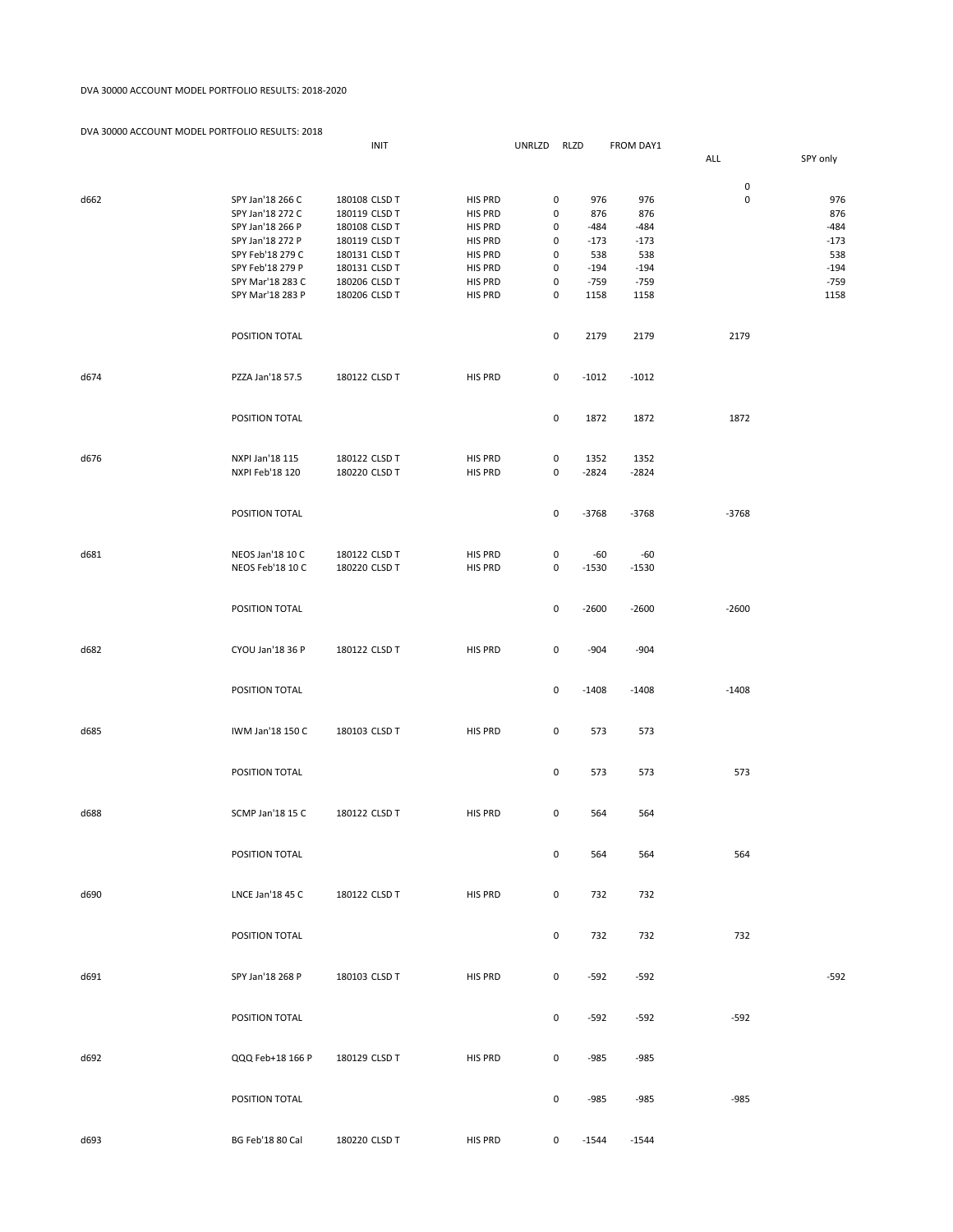## DVA 30000 ACCOUNT MODEL PORTFOLIO RESULTS: 2018-2020

| DVA J0000 ACCOUNT INIODELT ON IT OLIO INJULTJ. Z010 |                                      | INIT                           |                           | UNRLZD |                     | RLZD           | FROM DAY1      |             |                |
|-----------------------------------------------------|--------------------------------------|--------------------------------|---------------------------|--------|---------------------|----------------|----------------|-------------|----------------|
|                                                     |                                      |                                |                           |        |                     |                |                | ALL         | SPY only       |
|                                                     |                                      |                                |                           |        |                     |                |                | $\pmb{0}$   |                |
| d662                                                | SPY Jan'18 266 C                     | 180108 CLSD T                  | <b>HIS PRD</b>            |        | 0                   | 976            | 976            | $\mathbf 0$ | 976            |
|                                                     | SPY Jan'18 272 C                     | 180119 CLSD T                  | HIS PRD                   |        | 0                   | 876            | 876            |             | 876            |
|                                                     | SPY Jan'18 266 P                     | 180108 CLSD T                  | HIS PRD                   |        | 0                   | $-484$         | $-484$         |             | $-484$         |
|                                                     | SPY Jan'18 272 P                     | 180119 CLSD T                  | <b>HIS PRD</b>            |        | 0                   | $-173$         | $-173$         |             | $-173$         |
|                                                     | SPY Feb'18 279 C                     | 180131 CLSD T                  | HIS PRD                   |        | 0                   | 538            | 538            |             | 538            |
|                                                     | SPY Feb'18 279 P                     | 180131 CLSD T                  | HIS PRD                   |        | 0                   | $-194$         | $-194$         |             | $-194$         |
|                                                     | SPY Mar'18 283 C<br>SPY Mar'18 283 P | 180206 CLSD T<br>180206 CLSD T | HIS PRD<br><b>HIS PRD</b> |        | 0<br>0              | $-759$<br>1158 | $-759$<br>1158 |             | $-759$<br>1158 |
|                                                     |                                      |                                |                           |        |                     |                |                |             |                |
|                                                     |                                      |                                |                           |        |                     |                |                |             |                |
|                                                     | POSITION TOTAL                       |                                |                           |        | $\mathsf{O}\xspace$ | 2179           | 2179           | 2179        |                |
|                                                     |                                      |                                |                           |        |                     |                |                |             |                |
| d674                                                | PZZA Jan'18 57.5                     | 180122 CLSD T                  | <b>HIS PRD</b>            |        | 0                   | $-1012$        | $-1012$        |             |                |
|                                                     |                                      |                                |                           |        |                     |                |                |             |                |
|                                                     |                                      |                                |                           |        |                     |                |                |             |                |
|                                                     | POSITION TOTAL                       |                                |                           |        | $\mathsf{O}\xspace$ | 1872           | 1872           | 1872        |                |
|                                                     |                                      |                                |                           |        |                     |                |                |             |                |
| d676                                                | NXPI Jan'18 115                      | 180122 CLSD T                  | HIS PRD                   |        | $\mathsf{O}\xspace$ | 1352           | 1352           |             |                |
|                                                     | NXPI Feb'18 120                      | 180220 CLSD T                  | <b>HIS PRD</b>            |        | 0                   | $-2824$        | $-2824$        |             |                |
|                                                     |                                      |                                |                           |        |                     |                |                |             |                |
|                                                     |                                      |                                |                           |        |                     |                |                |             |                |
|                                                     | POSITION TOTAL                       |                                |                           |        | $\mathsf{O}\xspace$ | $-3768$        | $-3768$        | $-3768$     |                |
|                                                     |                                      |                                |                           |        |                     |                |                |             |                |
| d681                                                | NEOS Jan'18 10 C                     | 180122 CLSD T                  | HIS PRD                   |        | 0                   | $-60$          | $-60$          |             |                |
|                                                     | NEOS Feb'18 10 C                     | 180220 CLSD T                  | HIS PRD                   |        | 0                   | $-1530$        | $-1530$        |             |                |
|                                                     |                                      |                                |                           |        |                     |                |                |             |                |
|                                                     |                                      |                                |                           |        |                     |                |                |             |                |
|                                                     | POSITION TOTAL                       |                                |                           |        | $\pmb{0}$           | $-2600$        | $-2600$        | $-2600$     |                |
|                                                     |                                      |                                |                           |        |                     |                |                |             |                |
| d682                                                | CYOU Jan'18 36 P                     | 180122 CLSD T                  | <b>HIS PRD</b>            |        | 0                   | $-904$         | $-904$         |             |                |
|                                                     |                                      |                                |                           |        |                     |                |                |             |                |
|                                                     |                                      |                                |                           |        |                     |                |                |             |                |
|                                                     | POSITION TOTAL                       |                                |                           |        | $\mathsf{O}\xspace$ | $-1408$        | $-1408$        | $-1408$     |                |
|                                                     |                                      |                                |                           |        |                     |                |                |             |                |
| d685                                                | IWM Jan'18 150 C                     | 180103 CLSD T                  | <b>HIS PRD</b>            |        | 0                   | 573            | 573            |             |                |
|                                                     |                                      |                                |                           |        |                     |                |                |             |                |
|                                                     |                                      |                                |                           |        |                     |                |                |             |                |
|                                                     | POSITION TOTAL                       |                                |                           |        | $\mathsf{O}\xspace$ | 573            | 573            | 573         |                |
|                                                     |                                      |                                |                           |        |                     |                |                |             |                |
| d688                                                | <b>SCMP Jan'18 15 C</b>              | 180122 CLSD T                  | <b>HIS PRD</b>            |        | 0                   | 564            | 564            |             |                |
|                                                     |                                      |                                |                           |        |                     |                |                |             |                |
|                                                     |                                      |                                |                           |        |                     |                |                |             |                |
|                                                     | POSITION TOTAL                       |                                |                           |        | 0                   | 564            | 564            | 564         |                |
|                                                     |                                      |                                |                           |        |                     |                |                |             |                |
| d690                                                | LNCE Jan'18 45 C                     | 180122 CLSD T                  | HIS PRD                   |        | $\mathsf{O}\xspace$ | 732            | 732            |             |                |
|                                                     |                                      |                                |                           |        |                     |                |                |             |                |
|                                                     |                                      |                                |                           |        |                     |                |                |             |                |
|                                                     | POSITION TOTAL                       |                                |                           |        | $\mathsf{O}\xspace$ | 732            | 732            | 732         |                |
|                                                     |                                      |                                |                           |        |                     |                |                |             |                |
| d691                                                | SPY Jan'18 268 P                     | 180103 CLSD T                  | HIS PRD                   |        | $\mathsf{O}\xspace$ | $-592$         | $-592$         |             | $-592$         |
|                                                     |                                      |                                |                           |        |                     |                |                |             |                |
|                                                     |                                      |                                |                           |        |                     |                |                |             |                |
|                                                     | POSITION TOTAL                       |                                |                           |        | $\mathsf{O}\xspace$ | $-592$         | $-592$         | $-592$      |                |
|                                                     |                                      |                                |                           |        |                     |                |                |             |                |
|                                                     |                                      |                                |                           |        |                     |                |                |             |                |
| d692                                                | QQQ Feb+18 166 P                     | 180129 CLSD T                  | HIS PRD                   |        | 0                   | $-985$         | $-985$         |             |                |
|                                                     |                                      |                                |                           |        |                     |                |                |             |                |
|                                                     | POSITION TOTAL                       |                                |                           |        | $\mathsf{O}\xspace$ | $-985$         | $-985$         | $-985$      |                |
|                                                     |                                      |                                |                           |        |                     |                |                |             |                |
|                                                     |                                      |                                |                           |        |                     |                |                |             |                |
| d693                                                | BG Feb'18 80 Cal                     | 180220 CLSD T                  | HIS PRD                   |        | 0                   | $-1544$        | $-1544$        |             |                |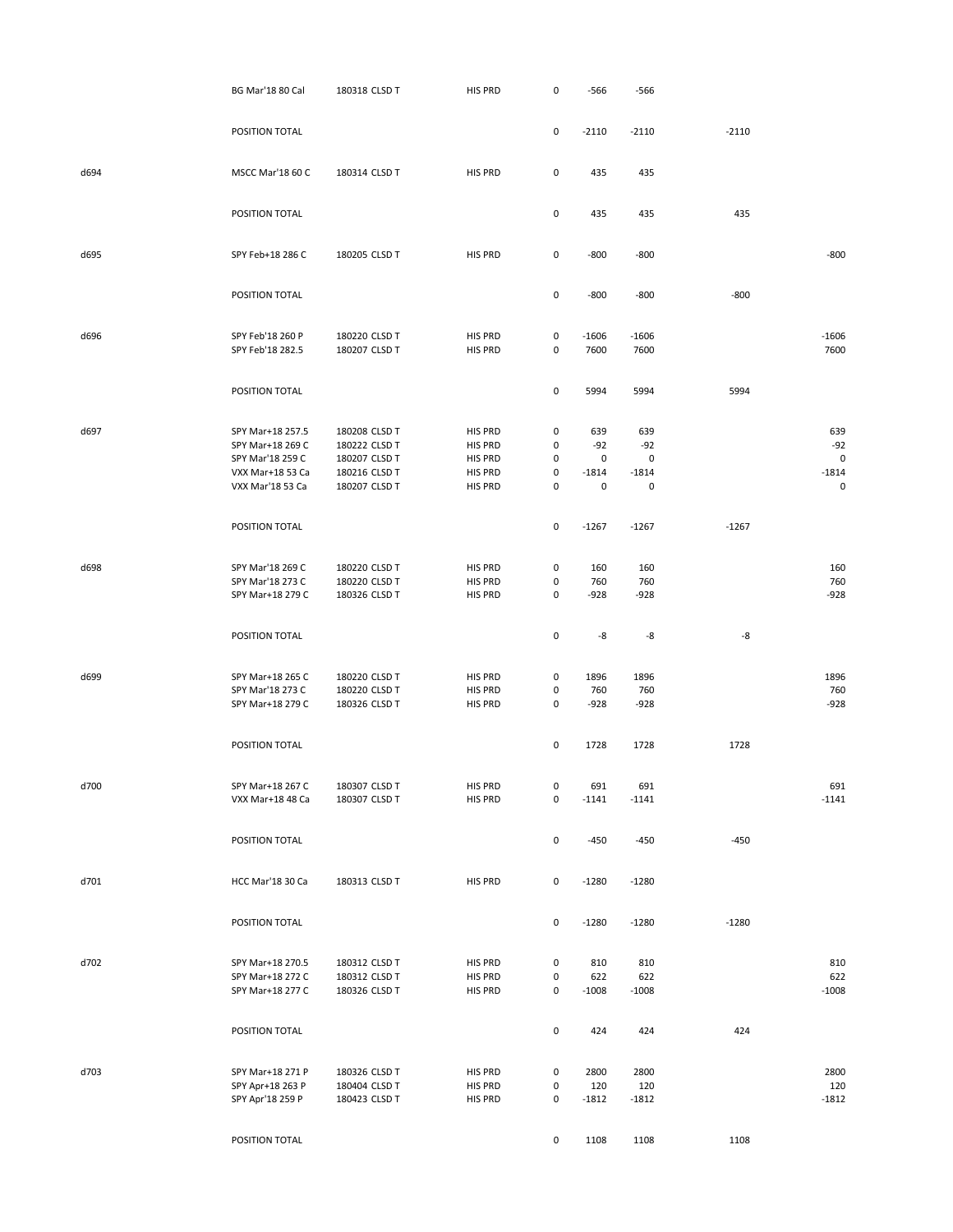|      | <b>BG Mar'18 80 Cal</b>              | 180318 CLSD T                  | HIS PRD            | $\mathsf 0$         | $-566$       | -566         |         |                         |
|------|--------------------------------------|--------------------------------|--------------------|---------------------|--------------|--------------|---------|-------------------------|
|      | POSITION TOTAL                       |                                |                    | 0                   | $-2110$      | $-2110$      | $-2110$ |                         |
|      |                                      |                                |                    |                     |              |              |         |                         |
| d694 | MSCC Mar'18 60 C                     | 180314 CLSD T                  | HIS PRD            | 0                   | 435          | 435          |         |                         |
|      | POSITION TOTAL                       |                                |                    | 0                   | 435          | 435          | 435     |                         |
| d695 | SPY Feb+18 286 C                     | 180205 CLSD T                  | HIS PRD            | $\mathsf 0$         | $-800$       | $-800$       |         | $-800$                  |
|      | POSITION TOTAL                       |                                |                    | 0                   | $-800$       | $-800$       | $-800$  |                         |
| d696 | SPY Feb'18 260 P                     | 180220 CLSD T                  | HIS PRD            | 0                   | $-1606$      | $-1606$      |         | $-1606$                 |
|      | SPY Feb'18 282.5                     | 180207 CLSD T                  | HIS PRD            | 0                   | 7600         | 7600         |         | 7600                    |
|      | POSITION TOTAL                       |                                |                    | 0                   | 5994         | 5994         | 5994    |                         |
| d697 | SPY Mar+18 257.5                     | 180208 CLSD T                  | HIS PRD            | 0                   | 639          | 639          |         | 639                     |
|      | SPY Mar+18 269 C                     | 180222 CLSD T                  | HIS PRD            | 0                   | $-92$        | $-92$        |         | $-92$                   |
|      | SPY Mar'18 259 C                     | 180207 CLSD T                  | HIS PRD            | 0                   | 0            | 0            |         | $\mathsf{O}$            |
|      | VXX Mar+18 53 Ca<br>VXX Mar'18 53 Ca | 180216 CLSD T<br>180207 CLSD T | HIS PRD<br>HIS PRD | 0<br>0              | $-1814$<br>0 | $-1814$<br>0 |         | $-1814$<br>$\mathsf{O}$ |
|      |                                      |                                |                    |                     |              |              |         |                         |
|      | POSITION TOTAL                       |                                |                    | 0                   | $-1267$      | $-1267$      | $-1267$ |                         |
| d698 | SPY Mar'18 269 C                     | 180220 CLSD T                  | HIS PRD            | 0                   | 160          | 160          |         | 160                     |
|      | SPY Mar'18 273 C                     | 180220 CLSD T                  | HIS PRD            | 0                   | 760          | 760          |         | 760                     |
|      | SPY Mar+18 279 C                     | 180326 CLSD T                  | HIS PRD            | 0                   | $-928$       | $-928$       |         | $-928$                  |
|      | POSITION TOTAL                       |                                |                    | 0                   | -8           | -8           | -8      |                         |
|      |                                      |                                |                    |                     |              |              |         |                         |
| d699 | SPY Mar+18 265 C<br>SPY Mar'18 273 C | 180220 CLSD T<br>180220 CLSD T | HIS PRD<br>HIS PRD | 0<br>0              | 1896<br>760  | 1896<br>760  |         | 1896<br>760             |
|      | SPY Mar+18 279 C                     | 180326 CLSD T                  | HIS PRD            | 0                   | $-928$       | $-928$       |         | $-928$                  |
|      |                                      |                                |                    |                     |              |              |         |                         |
|      | POSITION TOTAL                       |                                |                    | 0                   | 1728         | 1728         | 1728    |                         |
| d700 | SPY Mar+18 267 C                     | 180307 CLSD T                  | HIS PRD            | 0                   | 691          | 691          |         | 691                     |
|      | VXX Mar+18 48 Ca                     | 180307 CLSD T                  | HIS PRD            | $\pmb{0}$           | $-1141$      | $-1141$      |         | $-1141$                 |
|      | POSITION TOTAL                       |                                |                    | $\pmb{0}$           | $-450$       | $-450$       | $-450$  |                         |
| d701 | HCC Mar'18 30 Ca                     | 180313 CLSD T                  | HIS PRD            | $\mathsf 0$         | $-1280$      | $-1280$      |         |                         |
|      | POSITION TOTAL                       |                                |                    | $\mathsf{O}\xspace$ | $-1280$      | $-1280$      | $-1280$ |                         |
| d702 | SPY Mar+18 270.5                     | 180312 CLSD T                  | HIS PRD            | 0                   | 810          | 810          |         | 810                     |
|      | SPY Mar+18 272 C                     | 180312 CLSD T                  | HIS PRD            | 0                   | 622          | 622          |         | 622                     |
|      | SPY Mar+18 277 C                     | 180326 CLSD T                  | HIS PRD            | $\mathsf{O}\xspace$ | $-1008$      | $-1008$      |         | $-1008$                 |
|      | POSITION TOTAL                       |                                |                    | $\mathsf 0$         | 424          | 424          | 424     |                         |
|      |                                      |                                |                    |                     |              |              |         |                         |
| d703 | SPY Mar+18 271 P<br>SPY Apr+18 263 P | 180326 CLSD T<br>180404 CLSD T | HIS PRD<br>HIS PRD | 0<br>0              | 2800<br>120  | 2800<br>120  |         | 2800<br>120             |
|      | SPY Apr'18 259 P                     | 180423 CLSD T                  | HIS PRD            | $\mathsf{O}\xspace$ | $-1812$      | $-1812$      |         | $-1812$                 |
|      | POSITION TOTAL                       |                                |                    | $\mathsf{O}\xspace$ | 1108         | 1108         | 1108    |                         |
|      |                                      |                                |                    |                     |              |              |         |                         |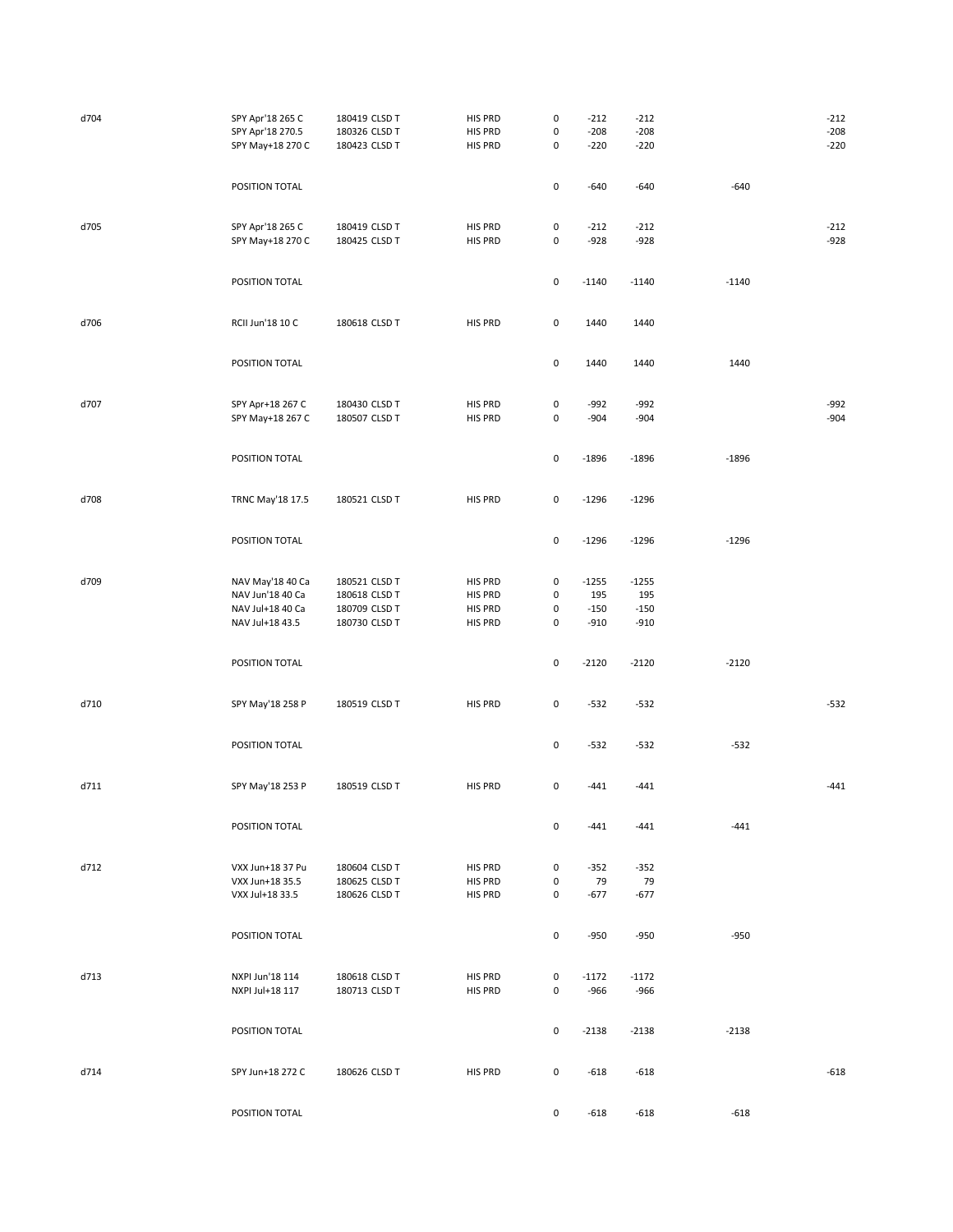| d704 | SPY Apr'18 265 C<br>SPY Apr'18 270.5<br>SPY May+18 270 C                    | 180419 CLSD T<br>180326 CLSD T<br>180423 CLSD T                  | HIS PRD<br>HIS PRD<br>HIS PRD                   | 0<br>$\pmb{0}$<br>$\pmb{0}$ | $-212$<br>$-208$<br>$-220$         | $-212$<br>$-208$<br>$-220$         |         | $-212$<br>$-208$<br>$-220$ |
|------|-----------------------------------------------------------------------------|------------------------------------------------------------------|-------------------------------------------------|-----------------------------|------------------------------------|------------------------------------|---------|----------------------------|
|      | POSITION TOTAL                                                              |                                                                  |                                                 | 0                           | $-640$                             | $-640$                             | $-640$  |                            |
| d705 | SPY Apr'18 265 C<br>SPY May+18 270 C                                        | 180419 CLSD T<br>180425 CLSD T                                   | HIS PRD<br><b>HIS PRD</b>                       | 0<br>0                      | $-212$<br>$-928$                   | $-212$<br>$-928$                   |         | $-212$<br>$-928$           |
|      | POSITION TOTAL                                                              |                                                                  |                                                 | $\pmb{0}$                   | $-1140$                            | $-1140$                            | $-1140$ |                            |
| d706 | RCII Jun'18 10 C                                                            | 180618 CLSD T                                                    | HIS PRD                                         | $\pmb{0}$                   | 1440                               | 1440                               |         |                            |
|      | POSITION TOTAL                                                              |                                                                  |                                                 | 0                           | 1440                               | 1440                               | 1440    |                            |
| d707 | SPY Apr+18 267 C<br>SPY May+18 267 C                                        | 180430 CLSD T<br>180507 CLSD T                                   | HIS PRD<br>HIS PRD                              | 0<br>0                      | $-992$<br>$-904$                   | $-992$<br>$-904$                   |         | $-992$<br>$-904$           |
|      | POSITION TOTAL                                                              |                                                                  |                                                 | $\pmb{0}$                   | $-1896$                            | $-1896$                            | $-1896$ |                            |
| d708 | TRNC May'18 17.5                                                            | 180521 CLSD T                                                    | HIS PRD                                         | 0                           | $-1296$                            | $-1296$                            |         |                            |
|      | POSITION TOTAL                                                              |                                                                  |                                                 | 0                           | $-1296$                            | $-1296$                            | $-1296$ |                            |
| d709 | NAV May'18 40 Ca<br>NAV Jun'18 40 Ca<br>NAV Jul+18 40 Ca<br>NAV Jul+18 43.5 | 180521 CLSD T<br>180618 CLSD T<br>180709 CLSD T<br>180730 CLSD T | HIS PRD<br>HIS PRD<br>HIS PRD<br><b>HIS PRD</b> | 0<br>0<br>0<br>0            | $-1255$<br>195<br>$-150$<br>$-910$ | $-1255$<br>195<br>$-150$<br>$-910$ |         |                            |
|      | POSITION TOTAL                                                              |                                                                  |                                                 | $\pmb{0}$                   | $-2120$                            | $-2120$                            | $-2120$ |                            |
| d710 | SPY May'18 258 P                                                            | 180519 CLSD T                                                    | HIS PRD                                         | 0                           | $-532$                             | $-532$                             |         | $-532$                     |
|      | POSITION TOTAL                                                              |                                                                  |                                                 | 0                           | $-532$                             | $-532$                             | $-532$  |                            |
| d711 | SPY May'18 253 P                                                            | 180519 CLSD T                                                    | HIS PRD                                         | 0                           | $-441$                             | $-441$                             |         | $-441$                     |
|      | POSITION TOTAL                                                              |                                                                  |                                                 | 0                           | $-441$                             | $-441$                             | $-441$  |                            |
| d712 | VXX Jun+18 37 Pu<br>VXX Jun+18 35.5<br>VXX Jul+18 33.5                      | 180604 CLSD T<br>180625 CLSD T<br>180626 CLSD T                  | HIS PRD<br>HIS PRD<br>HIS PRD                   | 0<br>0<br>0                 | $-352$<br>79<br>$-677$             | $-352$<br>79<br>-677               |         |                            |
|      | POSITION TOTAL                                                              |                                                                  |                                                 | 0                           | $-950$                             | $-950$                             | $-950$  |                            |
| d713 | NXPI Jun'18 114<br>NXPI Jul+18 117                                          | 180618 CLSD T<br>180713 CLSD T                                   | HIS PRD<br>HIS PRD                              | $\pmb{0}$<br>0              | $-1172$<br>$-966$                  | $-1172$<br>$-966$                  |         |                            |
|      | POSITION TOTAL                                                              |                                                                  |                                                 | 0                           | $-2138$                            | $-2138$                            | $-2138$ |                            |
| d714 | SPY Jun+18 272 C                                                            | 180626 CLSD T                                                    | HIS PRD                                         | 0                           | $-618$                             | -618                               |         | $-618$                     |
|      | POSITION TOTAL                                                              |                                                                  |                                                 | 0                           | $-618$                             | $-618$                             | $-618$  |                            |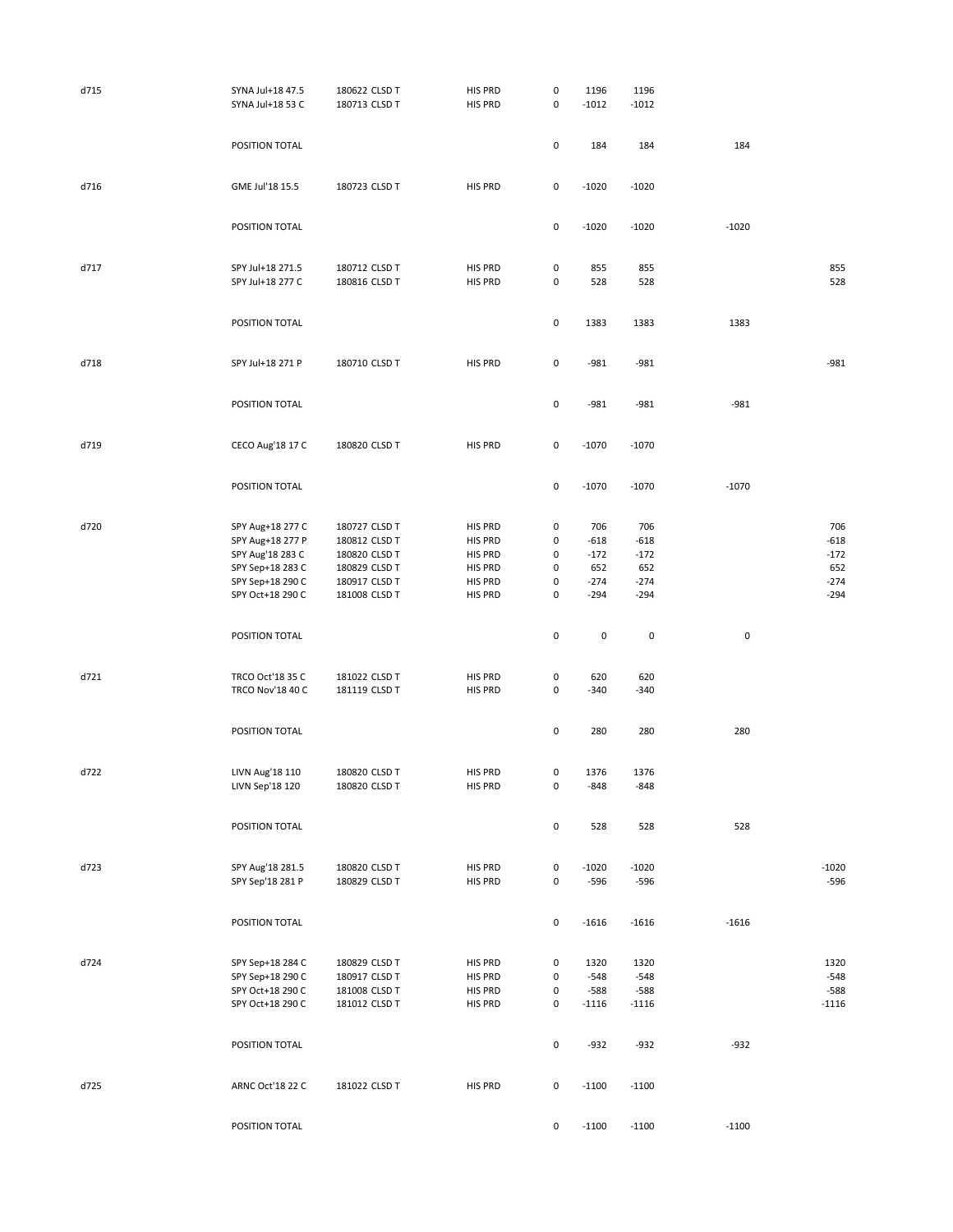| d715 | SYNA Jul+18 47.5<br>SYNA Jul+18 53 C                                                                                 | 180622 CLSD T<br>180713 CLSD T                                                                     | HIS PRD<br><b>HIS PRD</b>                                             | 0<br>$\pmb{0}$             | 1196<br>$-1012$                                    | 1196<br>$-1012$                                    |           |                                                    |
|------|----------------------------------------------------------------------------------------------------------------------|----------------------------------------------------------------------------------------------------|-----------------------------------------------------------------------|----------------------------|----------------------------------------------------|----------------------------------------------------|-----------|----------------------------------------------------|
|      | POSITION TOTAL                                                                                                       |                                                                                                    |                                                                       | 0                          | 184                                                | 184                                                | 184       |                                                    |
| d716 | GME Jul'18 15.5                                                                                                      | 180723 CLSD T                                                                                      | HIS PRD                                                               | 0                          | $-1020$                                            | $-1020$                                            |           |                                                    |
|      | POSITION TOTAL                                                                                                       |                                                                                                    |                                                                       | $\pmb{0}$                  | $-1020$                                            | $-1020$                                            | $-1020$   |                                                    |
| d717 | SPY Jul+18 271.5<br>SPY Jul+18 277 C                                                                                 | 180712 CLSD T<br>180816 CLSD T                                                                     | <b>HIS PRD</b><br><b>HIS PRD</b>                                      | 0<br>$\pmb{0}$             | 855<br>528                                         | 855<br>528                                         |           | 855<br>528                                         |
|      | POSITION TOTAL                                                                                                       |                                                                                                    |                                                                       | 0                          | 1383                                               | 1383                                               | 1383      |                                                    |
| d718 | SPY Jul+18 271 P                                                                                                     | 180710 CLSD T                                                                                      | HIS PRD                                                               | 0                          | $-981$                                             | $-981$                                             |           | $-981$                                             |
|      | POSITION TOTAL                                                                                                       |                                                                                                    |                                                                       | 0                          | $-981$                                             | $-981$                                             | $-981$    |                                                    |
| d719 | CECO Aug'18 17 C                                                                                                     | 180820 CLSD T                                                                                      | HIS PRD                                                               | $\mathsf{O}\xspace$        | $-1070$                                            | $-1070$                                            |           |                                                    |
|      | POSITION TOTAL                                                                                                       |                                                                                                    |                                                                       | 0                          | $-1070$                                            | $-1070$                                            | $-1070$   |                                                    |
| d720 | SPY Aug+18 277 C<br>SPY Aug+18 277 P<br>SPY Aug'18 283 C<br>SPY Sep+18 283 C<br>SPY Sep+18 290 C<br>SPY Oct+18 290 C | 180727 CLSD T<br>180812 CLSD T<br>180820 CLSD T<br>180829 CLSD T<br>180917 CLSD T<br>181008 CLSD T | HIS PRD<br><b>HIS PRD</b><br>HIS PRD<br>HIS PRD<br>HIS PRD<br>HIS PRD | 0<br>0<br>0<br>0<br>0<br>0 | 706<br>$-618$<br>$-172$<br>652<br>$-274$<br>$-294$ | 706<br>$-618$<br>$-172$<br>652<br>$-274$<br>$-294$ |           | 706<br>$-618$<br>$-172$<br>652<br>$-274$<br>$-294$ |
|      | POSITION TOTAL                                                                                                       |                                                                                                    |                                                                       | $\pmb{0}$                  | $\pmb{0}$                                          | $\pmb{0}$                                          | $\pmb{0}$ |                                                    |
| d721 | TRCO Oct'18 35 C<br><b>TRCO Nov'18 40 C</b>                                                                          | 181022 CLSD T<br>181119 CLSD T                                                                     | HIS PRD<br>HIS PRD                                                    | 0<br>0                     | 620<br>$-340$                                      | 620<br>$-340$                                      |           |                                                    |
|      | POSITION TOTAL                                                                                                       |                                                                                                    |                                                                       | 0                          | 280                                                | 280                                                | 280       |                                                    |
| d722 | LIVN Aug'18 110<br>LIVN Sep'18 120                                                                                   | 180820 CLSD T<br>180820 CLSD T                                                                     | <b>HIS PRD</b><br>HIS PRD                                             | 0<br>0                     | 1376<br>$-848$                                     | 1376<br>-848                                       |           |                                                    |
|      | POSITION TOTAL                                                                                                       |                                                                                                    |                                                                       | $\mathsf 0$                | 528                                                | 528                                                | 528       |                                                    |
| d723 | SPY Aug'18 281.5<br>SPY Sep'18 281 P                                                                                 | 180820 CLSD T<br>180829 CLSD T                                                                     | HIS PRD<br>HIS PRD                                                    | 0<br>0                     | $-1020$<br>$-596$                                  | $-1020$<br>$-596$                                  |           | $-1020$<br>$-596$                                  |
|      | POSITION TOTAL                                                                                                       |                                                                                                    |                                                                       | $\mathsf 0$                | $-1616$                                            | $-1616$                                            | $-1616$   |                                                    |
| d724 | SPY Sep+18 284 C<br>SPY Sep+18 290 C<br>SPY Oct+18 290 C<br>SPY Oct+18 290 C                                         | 180829 CLSD T<br>180917 CLSD T<br>181008 CLSD T<br>181012 CLSD T                                   | HIS PRD<br>HIS PRD<br>HIS PRD<br>HIS PRD                              | 0<br>0<br>0<br>0           | 1320<br>$-548$<br>$-588$<br>$-1116$                | 1320<br>$-548$<br>$-588$<br>$-1116$                |           | 1320<br>$-548$<br>$-588$<br>$-1116$                |
|      | POSITION TOTAL                                                                                                       |                                                                                                    |                                                                       | 0                          | $-932$                                             | $-932$                                             | $-932$    |                                                    |
| d725 | ARNC Oct'18 22 C                                                                                                     | 181022 CLSD T                                                                                      | HIS PRD                                                               | $\mathsf{O}\xspace$        | $-1100$                                            | $-1100$                                            |           |                                                    |
|      | POSITION TOTAL                                                                                                       |                                                                                                    |                                                                       | $\mathsf 0$                | $-1100$                                            | $-1100$                                            | $-1100$   |                                                    |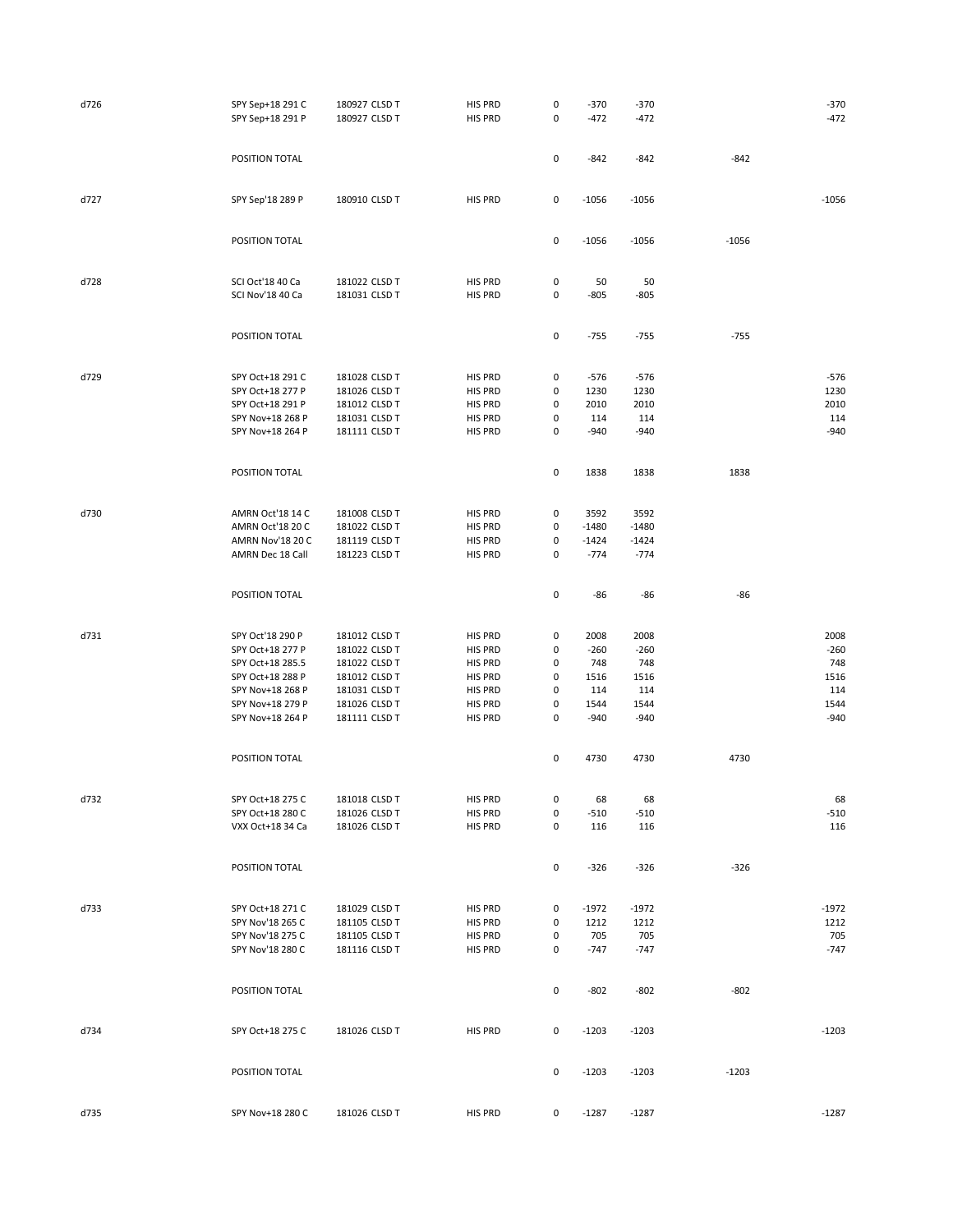| d726 | SPY Sep+18 291 C<br>SPY Sep+18 291 P | 180927 CLSD T<br>180927 CLSD T | <b>HIS PRD</b><br><b>HIS PRD</b> | 0<br>0              | $-370$<br>$-472$ | $-370$<br>$-472$ |         | $-370$<br>$-472$ |
|------|--------------------------------------|--------------------------------|----------------------------------|---------------------|------------------|------------------|---------|------------------|
|      | POSITION TOTAL                       |                                |                                  | 0                   | $-842$           | $-842$           | $-842$  |                  |
| d727 | SPY Sep'18 289 P                     | 180910 CLSD T                  | HIS PRD                          | 0                   | $-1056$          | $-1056$          |         | $-1056$          |
|      | POSITION TOTAL                       |                                |                                  | 0                   | $-1056$          | $-1056$          | $-1056$ |                  |
| d728 | SCI Oct'18 40 Ca<br>SCI Nov'18 40 Ca | 181022 CLSD T<br>181031 CLSD T | <b>HIS PRD</b><br><b>HIS PRD</b> | 0<br>0              | 50<br>$-805$     | 50<br>-805       |         |                  |
|      | POSITION TOTAL                       |                                |                                  | 0                   | $-755$           | $-755$           | $-755$  |                  |
|      |                                      |                                |                                  |                     |                  |                  |         |                  |
| d729 | SPY Oct+18 291 C                     | 181028 CLSD T                  | HIS PRD                          | 0                   | $-576$           | $-576$           |         | $-576$           |
|      | SPY Oct+18 277 P                     | 181026 CLSD T                  | HIS PRD                          | 0                   | 1230             | 1230             |         | 1230             |
|      | SPY Oct+18 291 P                     | 181012 CLSD T                  | HIS PRD                          | 0                   | 2010             | 2010             |         | 2010             |
|      | SPY Nov+18 268 P                     | 181031 CLSD T                  | HIS PRD                          | 0                   | 114              | 114              |         | 114              |
|      | SPY Nov+18 264 P                     | 181111 CLSD T                  | <b>HIS PRD</b>                   | 0                   | $-940$           | $-940$           |         | $-940$           |
|      |                                      |                                |                                  |                     |                  |                  |         |                  |
|      | POSITION TOTAL                       |                                |                                  | $\mathsf 0$         | 1838             | 1838             | 1838    |                  |
| d730 | AMRN Oct'18 14 C                     | 181008 CLSD T                  | HIS PRD                          | 0                   | 3592             | 3592             |         |                  |
|      | AMRN Oct'18 20 C                     | 181022 CLSD T                  | HIS PRD                          | 0                   | $-1480$          | $-1480$          |         |                  |
|      | AMRN Nov'18 20 C                     | 181119 CLSD T                  | <b>HIS PRD</b>                   | 0                   | $-1424$          | $-1424$          |         |                  |
|      | AMRN Dec 18 Call                     | 181223 CLSD T                  | HIS PRD                          | 0                   | $-774$           | $-774$           |         |                  |
|      |                                      |                                |                                  |                     |                  |                  |         |                  |
|      | POSITION TOTAL                       |                                |                                  | $\mathsf 0$         | -86              | $-86$            | -86     |                  |
| d731 | SPY Oct'18 290 P                     | 181012 CLSD T                  | HIS PRD                          | 0                   | 2008             | 2008             |         | 2008             |
|      | SPY Oct+18 277 P                     | 181022 CLSD T                  | HIS PRD                          | 0                   | $-260$           | $-260$           |         | $-260$           |
|      | SPY Oct+18 285.5                     | 181022 CLSD T                  | HIS PRD                          | 0                   | 748              | 748              |         | 748              |
|      | SPY Oct+18 288 P                     | 181012 CLSD T                  | HIS PRD                          | 0                   | 1516             | 1516             |         | 1516             |
|      | SPY Nov+18 268 P                     | 181031 CLSD T                  | HIS PRD                          | 0                   | 114              | 114              |         | 114              |
|      | SPY Nov+18 279 P                     | 181026 CLSD T                  | HIS PRD                          | 0                   | 1544             | 1544             |         | 1544             |
|      | SPY Nov+18 264 P                     | 181111 CLSD T                  | <b>HIS PRD</b>                   | 0                   | $-940$           | $-940$           |         | $-940$           |
|      | POSITION TOTAL                       |                                |                                  | 0                   | 4730             | 4730             | 4730    |                  |
|      |                                      |                                |                                  |                     |                  |                  |         |                  |
| d732 | SPY Oct+18 275 C                     | 181018 CLSD T                  | HIS PRD                          | 0                   | 68               | 68               |         | 68               |
|      | SPY Oct+18 280 C                     | 181026 CLSD T                  | HIS PRD                          | 0                   | $-510$           | -510             |         | $-510$           |
|      | VXX Oct+18 34 Ca                     | 181026 CLSD T                  | <b>HIS PRD</b>                   | 0                   | 116              | 116              |         | 116              |
|      | POSITION TOTAL                       |                                |                                  | 0                   | $-326$           | $-326$           | $-326$  |                  |
|      |                                      |                                |                                  |                     |                  |                  |         |                  |
| d733 | SPY Oct+18 271 C                     | 181029 CLSD T                  | HIS PRD                          | 0                   | $-1972$          | $-1972$          |         | $-1972$          |
|      |                                      |                                |                                  | 0                   | 1212             |                  |         | 1212             |
|      | SPY Nov'18 265 C                     | 181105 CLSD T                  | HIS PRD                          |                     |                  | 1212             |         |                  |
|      | SPY Nov'18 275 C                     | 181105 CLSD T                  | HIS PRD                          | 0                   | 705              | 705              |         | 705              |
|      | SPY Nov'18 280 C                     | 181116 CLSD T                  | HIS PRD                          | 0                   | $-747$           | $-747$           |         | $-747$           |
|      | POSITION TOTAL                       |                                |                                  | $\mathsf{O}\xspace$ | $-802$           | $-802$           | $-802$  |                  |
| d734 | SPY Oct+18 275 C                     | 181026 CLSD T                  | HIS PRD                          | $\mathsf 0$         | $-1203$          | $-1203$          |         | $-1203$          |
|      | POSITION TOTAL                       |                                |                                  | 0                   | $-1203$          | $-1203$          | $-1203$ |                  |
| d735 | SPY Nov+18 280 C                     | 181026 CLSD T                  | HIS PRD                          | 0                   | $-1287$          | $-1287$          |         | $-1287$          |
|      |                                      |                                |                                  |                     |                  |                  |         |                  |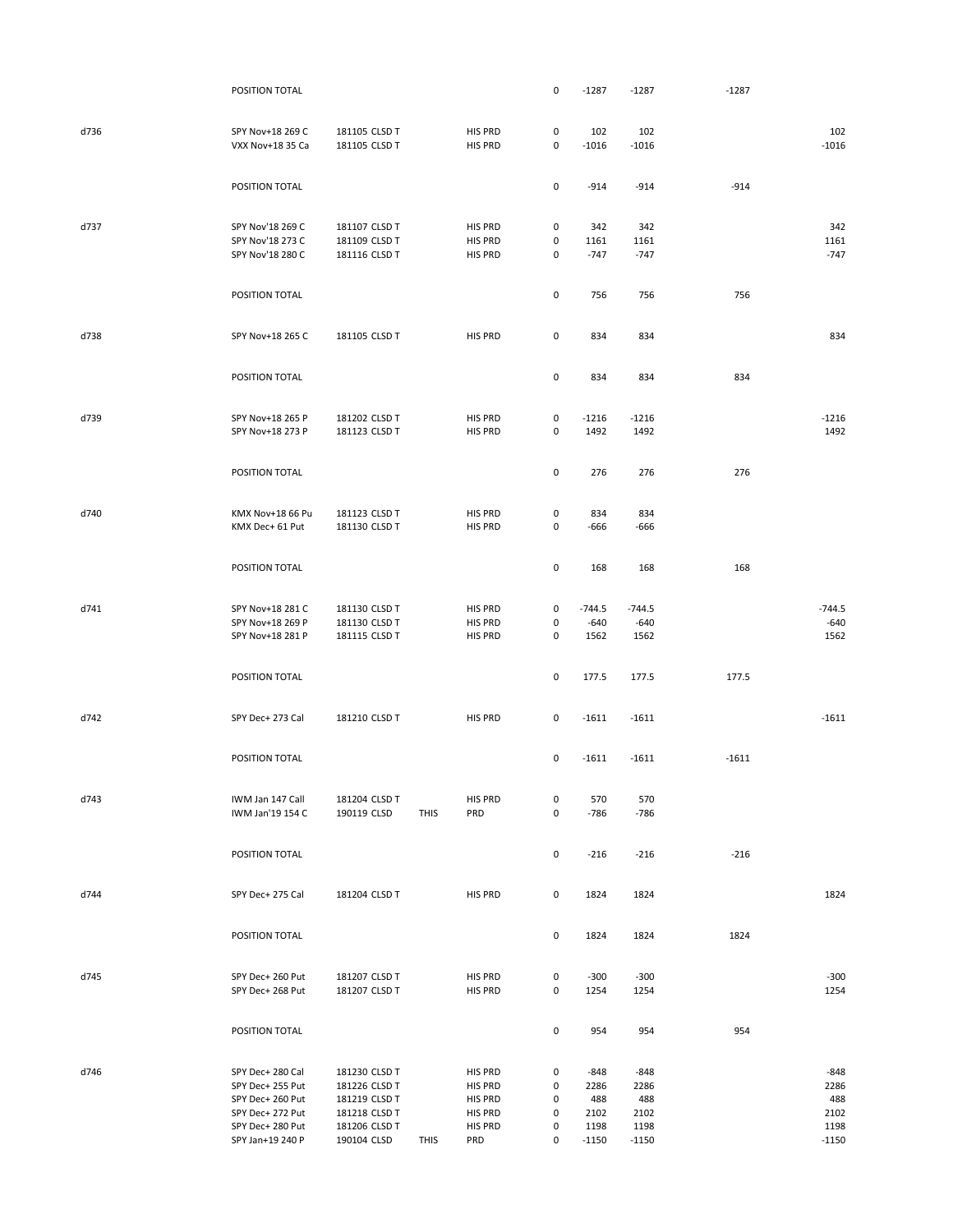|      | POSITION TOTAL   |               |             |         | 0         | $-1287$  | $-1287$  | $-1287$ |          |
|------|------------------|---------------|-------------|---------|-----------|----------|----------|---------|----------|
|      |                  |               |             |         |           |          |          |         |          |
|      |                  |               |             |         |           |          |          |         |          |
| d736 | SPY Nov+18 269 C | 181105 CLSD T |             | HIS PRD | 0         | 102      | 102      |         | 102      |
|      | VXX Nov+18 35 Ca | 181105 CLSD T |             | HIS PRD | 0         | $-1016$  | $-1016$  |         | $-1016$  |
|      |                  |               |             |         |           |          |          |         |          |
|      |                  |               |             |         | $\pmb{0}$ |          |          | $-914$  |          |
|      | POSITION TOTAL   |               |             |         |           | $-914$   | $-914$   |         |          |
|      |                  |               |             |         |           |          |          |         |          |
| d737 | SPY Nov'18 269 C | 181107 CLSD T |             | HIS PRD | 0         | 342      | 342      |         | 342      |
|      | SPY Nov'18 273 C | 181109 CLSD T |             | HIS PRD | 0         | 1161     | 1161     |         | 1161     |
|      | SPY Nov'18 280 C | 181116 CLSD T |             | HIS PRD | 0         | $-747$   | $-747$   |         | $-747$   |
|      |                  |               |             |         |           |          |          |         |          |
|      |                  |               |             |         |           |          |          |         |          |
|      | POSITION TOTAL   |               |             |         | 0         | 756      | 756      | 756     |          |
|      |                  |               |             |         |           |          |          |         |          |
|      |                  |               |             |         |           |          |          |         |          |
| d738 | SPY Nov+18 265 C | 181105 CLSD T |             | HIS PRD | 0         | 834      | 834      |         | 834      |
|      |                  |               |             |         |           |          |          |         |          |
|      |                  |               |             |         |           |          |          |         |          |
|      | POSITION TOTAL   |               |             |         | 0         | 834      | 834      | 834     |          |
|      |                  |               |             |         |           |          |          |         |          |
| d739 | SPY Nov+18 265 P | 181202 CLSD T |             | HIS PRD | 0         | $-1216$  | $-1216$  |         | $-1216$  |
|      | SPY Nov+18 273 P | 181123 CLSD T |             | HIS PRD | 0         | 1492     | 1492     |         | 1492     |
|      |                  |               |             |         |           |          |          |         |          |
|      |                  |               |             |         |           |          |          |         |          |
|      | POSITION TOTAL   |               |             |         | 0         | 276      | 276      | 276     |          |
|      |                  |               |             |         |           |          |          |         |          |
|      |                  |               |             |         |           |          |          |         |          |
| d740 | KMX Nov+18 66 Pu | 181123 CLSD T |             | HIS PRD | 0         | 834      | 834      |         |          |
|      | KMX Dec+ 61 Put  | 181130 CLSD T |             | HIS PRD | 0         | $-666$   | $-666$   |         |          |
|      |                  |               |             |         |           |          |          |         |          |
|      |                  |               |             |         |           |          |          |         |          |
|      | POSITION TOTAL   |               |             |         | 0         | 168      | 168      | 168     |          |
|      |                  |               |             |         |           |          |          |         |          |
| d741 | SPY Nov+18 281 C | 181130 CLSD T |             | HIS PRD | $\pmb{0}$ | $-744.5$ | $-744.5$ |         | $-744.5$ |
|      | SPY Nov+18 269 P | 181130 CLSD T |             | HIS PRD | 0         | $-640$   | $-640$   |         | $-640$   |
|      | SPY Nov+18 281 P | 181115 CLSD T |             | HIS PRD | 0         | 1562     | 1562     |         | 1562     |
|      |                  |               |             |         |           |          |          |         |          |
|      |                  |               |             |         |           |          |          |         |          |
|      | POSITION TOTAL   |               |             |         | 0         | 177.5    | 177.5    | 177.5   |          |
|      |                  |               |             |         |           |          |          |         |          |
|      |                  |               |             |         |           |          |          |         |          |
| d742 | SPY Dec+ 273 Cal | 181210 CLSD T |             | HIS PRD | 0         | $-1611$  | $-1611$  |         | $-1611$  |
|      |                  |               |             |         |           |          |          |         |          |
|      |                  |               |             |         |           |          |          |         |          |
|      | POSITION TOTAL   |               |             |         | $\pmb{0}$ | $-1611$  | $-1611$  | $-1611$ |          |
|      |                  |               |             |         |           |          |          |         |          |
| d743 | IWM Jan 147 Call | 181204 CLSD T |             | HIS PRD | 0         | 570      | 570      |         |          |
|      | IWM Jan'19 154 C | 190119 CLSD   | <b>THIS</b> | PRD     | 0         | $-786$   | $-786$   |         |          |
|      |                  |               |             |         |           |          |          |         |          |
|      |                  |               |             |         |           |          |          |         |          |
|      | POSITION TOTAL   |               |             |         | 0         | $-216$   | $-216$   | $-216$  |          |
|      |                  |               |             |         |           |          |          |         |          |
|      |                  |               |             |         |           |          |          |         |          |
| d744 | SPY Dec+ 275 Cal | 181204 CLSD T |             | HIS PRD | 0         | 1824     | 1824     |         | 1824     |
|      |                  |               |             |         |           |          |          |         |          |
|      |                  |               |             |         |           |          |          |         |          |
|      | POSITION TOTAL   |               |             |         | 0         | 1824     | 1824     | 1824    |          |
|      |                  |               |             |         |           |          |          |         |          |
| d745 | SPY Dec+ 260 Put | 181207 CLSD T |             | HIS PRD | 0         | $-300$   | $-300$   |         | $-300$   |
|      | SPY Dec+ 268 Put | 181207 CLSD T |             | HIS PRD | 0         | 1254     | 1254     |         | 1254     |
|      |                  |               |             |         |           |          |          |         |          |
|      |                  |               |             |         |           |          |          |         |          |
|      | POSITION TOTAL   |               |             |         | 0         | 954      | 954      | 954     |          |
|      |                  |               |             |         |           |          |          |         |          |
|      |                  |               |             |         |           |          |          |         |          |
| d746 | SPY Dec+ 280 Cal | 181230 CLSD T |             | HIS PRD | 0         | $-848$   | $-848$   |         | $-848$   |
|      | SPY Dec+ 255 Put | 181226 CLSD T |             | HIS PRD | 0         | 2286     | 2286     |         | 2286     |
|      | SPY Dec+ 260 Put | 181219 CLSD T |             | HIS PRD | 0         | 488      | 488      |         | 488      |
|      | SPY Dec+ 272 Put | 181218 CLSD T |             | HIS PRD | 0         | 2102     | 2102     |         | 2102     |
|      | SPY Dec+ 280 Put | 181206 CLSD T |             | HIS PRD | 0         | 1198     | 1198     |         | 1198     |
|      | SPY Jan+19 240 P | 190104 CLSD   | <b>THIS</b> | PRD     | 0         | $-1150$  | $-1150$  |         | $-1150$  |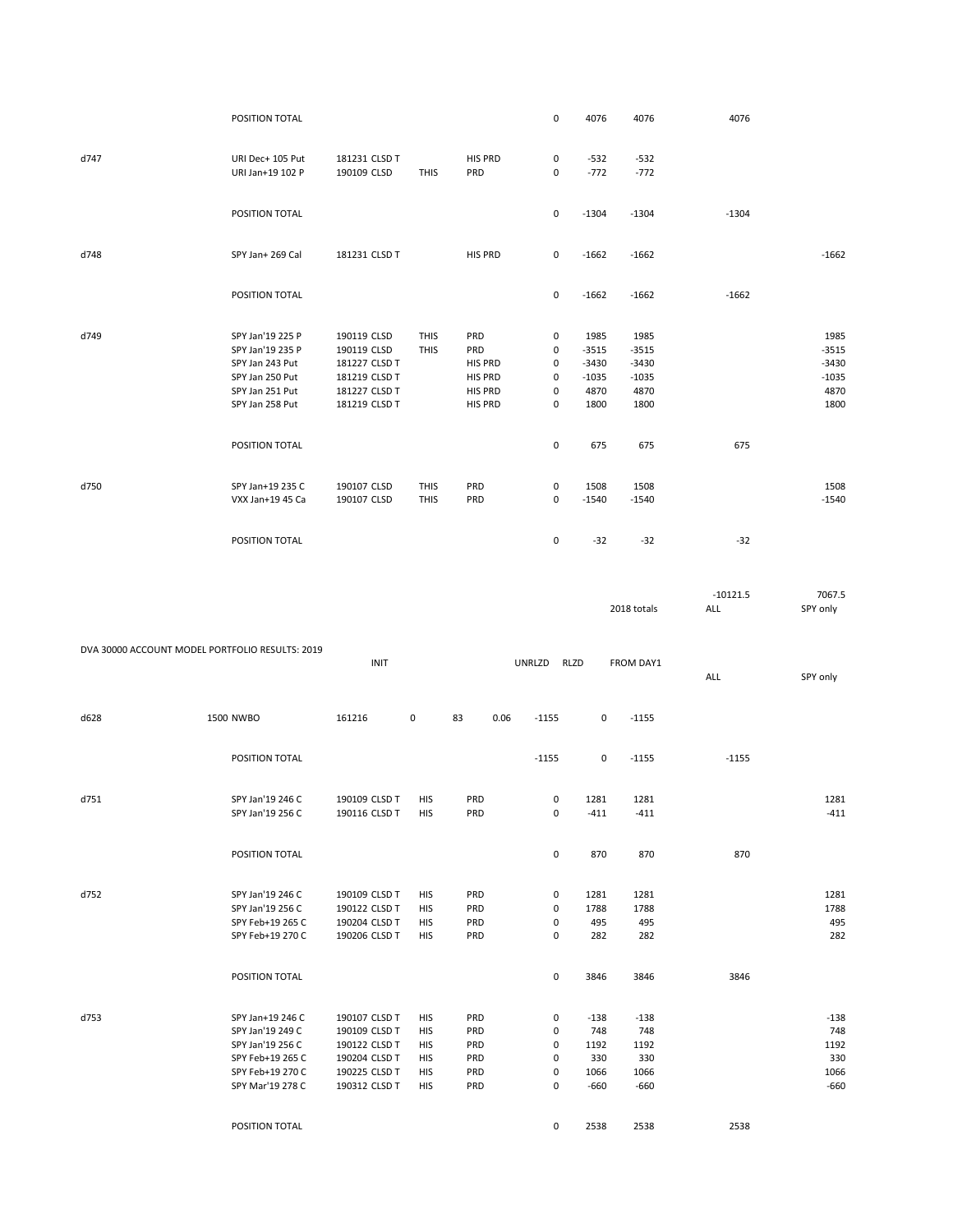|                                                 | POSITION TOTAL                       |                                |                            |            | 0                   | 4076            | 4076            | 4076       |                 |
|-------------------------------------------------|--------------------------------------|--------------------------------|----------------------------|------------|---------------------|-----------------|-----------------|------------|-----------------|
|                                                 |                                      |                                |                            |            |                     |                 |                 |            |                 |
| d747                                            | URI Dec+ 105 Put                     | 181231 CLSD T                  |                            | HIS PRD    | 0                   | $-532$          | $-532$          |            |                 |
|                                                 | URI Jan+19 102 P                     | 190109 CLSD                    | <b>THIS</b>                | PRD        | 0                   | $-772$          | $-772$          |            |                 |
|                                                 | POSITION TOTAL                       |                                |                            |            | 0                   | $-1304$         | $-1304$         | $-1304$    |                 |
| d748                                            | SPY Jan+ 269 Cal                     | 181231 CLSD T                  |                            | HIS PRD    | 0                   | $-1662$         | $-1662$         |            | $-1662$         |
|                                                 |                                      |                                |                            |            |                     |                 |                 |            |                 |
|                                                 | POSITION TOTAL                       |                                |                            |            | 0                   | $-1662$         | $-1662$         | $-1662$    |                 |
| d749                                            | SPY Jan'19 225 P                     | 190119 CLSD                    | <b>THIS</b>                | PRD        | 0                   | 1985            | 1985            |            | 1985            |
|                                                 | SPY Jan'19 235 P                     | 190119 CLSD                    | <b>THIS</b>                | PRD        | 0                   | $-3515$         | $-3515$         |            | $-3515$         |
|                                                 | SPY Jan 243 Put                      | 181227 CLSD T                  |                            | HIS PRD    | 0                   | $-3430$         | $-3430$         |            | $-3430$         |
|                                                 | SPY Jan 250 Put                      | 181219 CLSD T                  |                            | HIS PRD    | 0                   | $-1035$         | $-1035$         |            | $-1035$         |
|                                                 | SPY Jan 251 Put                      | 181227 CLSD T                  |                            | HIS PRD    | 0                   | 4870            | 4870            |            | 4870            |
|                                                 | SPY Jan 258 Put                      | 181219 CLSD T                  |                            | HIS PRD    | 0                   | 1800            | 1800            |            | 1800            |
|                                                 | POSITION TOTAL                       |                                |                            |            | 0                   | 675             | 675             | 675        |                 |
|                                                 |                                      |                                |                            |            |                     |                 |                 |            |                 |
| d750                                            | SPY Jan+19 235 C<br>VXX Jan+19 45 Ca | 190107 CLSD<br>190107 CLSD     | <b>THIS</b><br><b>THIS</b> | PRD<br>PRD | 0<br>$\pmb{0}$      | 1508<br>$-1540$ | 1508<br>$-1540$ |            | 1508<br>$-1540$ |
|                                                 | POSITION TOTAL                       |                                |                            |            | 0                   | $-32$           | $-32$           | $-32$      |                 |
|                                                 |                                      |                                |                            |            |                     |                 |                 |            |                 |
|                                                 |                                      |                                |                            |            |                     |                 |                 | $-10121.5$ | 7067.5          |
|                                                 |                                      |                                |                            |            |                     |                 | 2018 totals     | ALL        | SPY only        |
|                                                 |                                      |                                |                            |            |                     |                 |                 |            |                 |
| DVA 30000 ACCOUNT MODEL PORTFOLIO RESULTS: 2019 |                                      |                                |                            |            |                     |                 |                 |            |                 |
|                                                 |                                      | <b>INIT</b>                    |                            |            | UNRLZD              | <b>RLZD</b>     | FROM DAY1       | ALL        | SPY only        |
| d628                                            | <b>1500 NWBO</b>                     | 161216                         | 0                          | 83<br>0.06 | $-1155$             | 0               | $-1155$         |            |                 |
|                                                 |                                      |                                |                            |            |                     |                 |                 |            |                 |
|                                                 | POSITION TOTAL                       |                                |                            |            | $-1155$             | 0               | $-1155$         | $-1155$    |                 |
|                                                 |                                      |                                |                            |            |                     |                 |                 |            |                 |
| d751                                            | SPY Jan'19 246 C<br>SPY Jan'19 256 C | 190109 CLSD T<br>190116 CLSD T | HIS<br>HIS                 | PRD<br>PRD | 0<br>0              | 1281<br>-411    | 1281<br>-411    |            | 1281<br>-411    |
|                                                 | POSITION TOTAL                       |                                |                            |            | $\mathsf 0$         | 870             | 870             | 870        |                 |
|                                                 |                                      |                                |                            |            |                     |                 |                 |            |                 |
| d752                                            | SPY Jan'19 246 C                     | 190109 CLSD T                  | HIS                        | PRD        | 0                   | 1281            | 1281            |            | 1281            |
|                                                 | SPY Jan'19 256 C                     | 190122 CLSD T                  | HIS                        | PRD        | 0                   | 1788            | 1788            |            | 1788            |
|                                                 | SPY Feb+19 265 C                     | 190204 CLSD T                  | HIS                        | PRD        | 0                   | 495             | 495             |            | 495             |
|                                                 | SPY Feb+19 270 C                     | 190206 CLSD T                  | HIS                        | PRD        | 0                   | 282             | 282             |            | 282             |
|                                                 | POSITION TOTAL                       |                                |                            |            | $\mathsf{O}\xspace$ | 3846            | 3846            | 3846       |                 |
| d753                                            | SPY Jan+19 246 C                     | 190107 CLSD T                  | HIS                        | PRD        | 0                   | $-138$          | $-138$          |            | $-138$          |
|                                                 | SPY Jan'19 249 C                     | 190109 CLSD T                  | HIS                        | PRD        | 0                   | 748             | 748             |            | 748             |
|                                                 | SPY Jan'19 256 C                     | 190122 CLSD T                  | HIS                        | PRD        | 0                   | 1192            | 1192            |            | 1192            |
|                                                 | SPY Feb+19 265 C                     | 190204 CLSD T                  | HIS                        | PRD        | 0                   | 330             | 330             |            | 330             |
|                                                 | SPY Feb+19 270 C                     | 190225 CLSD T                  | HIS                        | PRD        | $\pmb{0}$           | 1066            | 1066            |            | 1066            |
|                                                 | SPY Mar'19 278 C                     | 190312 CLSD T                  | HIS                        | PRD        | 0                   | $-660$          | $-660$          |            | $-660$          |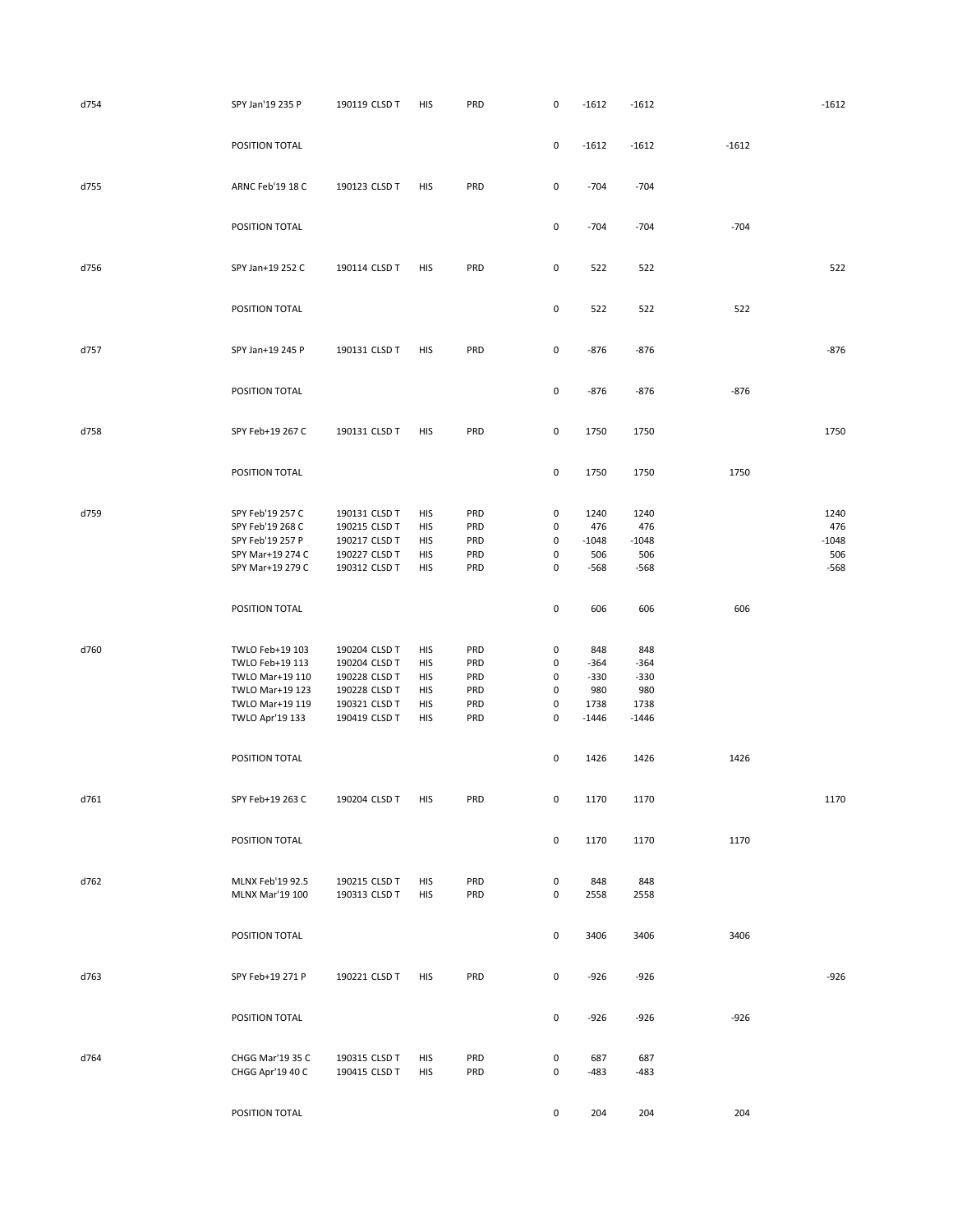| d754 | SPY Jan'19 235 P                     | 190119 CLSD T                  | HIS        | PRD        | 0                | $-1612$        | $-1612$        |         | $-1612$     |
|------|--------------------------------------|--------------------------------|------------|------------|------------------|----------------|----------------|---------|-------------|
|      | POSITION TOTAL                       |                                |            |            | 0                | $-1612$        | $-1612$        | $-1612$ |             |
| d755 | ARNC Feb'19 18 C                     | 190123 CLSD T                  | HIS        | PRD        | 0                | $-704$         | $-704$         |         |             |
|      | POSITION TOTAL                       |                                |            |            | 0                | $-704$         | $-704$         | $-704$  |             |
| d756 | SPY Jan+19 252 C                     | 190114 CLSD T                  | HIS        | PRD        | 0                | 522            | 522            |         | 522         |
|      | POSITION TOTAL                       |                                |            |            | 0                | 522            | 522            | 522     |             |
| d757 | SPY Jan+19 245 P                     | 190131 CLSD T                  | HIS        | PRD        | $\pmb{0}$        | $-876$         | $-876$         |         | $-876$      |
|      | POSITION TOTAL                       |                                |            |            | 0                | $-876$         | $-876$         | $-876$  |             |
| d758 | SPY Feb+19 267 C                     | 190131 CLSD T                  | HIS        | PRD        | $\mathsf 0$      | 1750           | 1750           |         | 1750        |
|      | POSITION TOTAL                       |                                |            |            | 0                | 1750           | 1750           | 1750    |             |
|      |                                      |                                |            |            |                  |                |                |         |             |
| d759 | SPY Feb'19 257 C<br>SPY Feb'19 268 C | 190131 CLSD T                  | HIS        | PRD        | $\pmb{0}$        | 1240           | 1240           |         | 1240<br>476 |
|      | SPY Feb'19 257 P                     | 190215 CLSD T<br>190217 CLSD T | HIS<br>HIS | PRD<br>PRD | 0<br>$\mathsf 0$ | 476<br>$-1048$ | 476<br>$-1048$ |         | $-1048$     |
|      | SPY Mar+19 274 C                     | 190227 CLSD T                  | HIS        | PRD        | 0                | 506            | 506            |         | 506         |
|      | SPY Mar+19 279 C                     | 190312 CLSD T                  | HIS        | PRD        | 0                | $-568$         | $-568$         |         | $-568$      |
|      | POSITION TOTAL                       |                                |            |            | $\pmb{0}$        | 606            | 606            | 606     |             |
|      |                                      |                                |            |            |                  |                |                |         |             |
| d760 | TWLO Feb+19 103                      | 190204 CLSD T                  | HIS        | PRD        | 0                | 848            | 848            |         |             |
|      | TWLO Feb+19 113                      | 190204 CLSD T                  | HIS        | PRD        | $\pmb{0}$        | $-364$         | $-364$         |         |             |
|      | TWLO Mar+19 110                      | 190228 CLSD T                  | HIS        | PRD        | 0                | $-330$         | $-330$         |         |             |
|      | TWLO Mar+19 123                      | 190228 CLSD T                  | HIS        | PRD        | $\pmb{0}$        | 980            | 980            |         |             |
|      | TWLO Mar+19 119                      | 190321 CLSD T                  | HIS        | PRD        | 0                | 1738           | 1738           |         |             |
|      | TWLO Apr'19 133                      | 190419 CLSD T                  | HIS        | PRD        | $\pmb{0}$        | $-1446$        | $-1446$        |         |             |
|      | POSITION TOTAL                       |                                |            |            | $\pmb{0}$        | 1426           | 1426           | 1426    |             |
| d761 | SPY Feb+19 263 C                     | 190204 CLSD T                  | HIS        | PRD        | $\mathsf 0$      | 1170           | 1170           |         | 1170        |
|      | POSITION TOTAL                       |                                |            |            | $\mathsf 0$      | 1170           | 1170           | 1170    |             |
| d762 | MLNX Feb'19 92.5                     | 190215 CLSD T                  | <b>HIS</b> | PRD        | $\pmb{0}$        | 848            | 848            |         |             |
|      | MLNX Mar'19 100                      | 190313 CLSD T                  | HIS        | PRD        | 0                | 2558           | 2558           |         |             |
|      | POSITION TOTAL                       |                                |            |            | 0                | 3406           | 3406           | 3406    |             |
| d763 | SPY Feb+19 271 P                     | 190221 CLSD T                  | HIS        | PRD        | 0                | $-926$         | $-926$         |         | $-926$      |
|      | POSITION TOTAL                       |                                |            |            | $\mathsf 0$      | $-926$         | $-926$         | $-926$  |             |
|      |                                      |                                |            |            |                  |                |                |         |             |
| d764 | CHGG Mar'19 35 C                     | 190315 CLSD T                  | <b>HIS</b> | PRD        | 0                | 687            | 687            |         |             |
|      | CHGG Apr'19 40 C                     | 190415 CLSD T                  | HIS        | PRD        | $\pmb{0}$        | $-483$         | $-483$         |         |             |
|      | POSITION TOTAL                       |                                |            |            | 0                | 204            | 204            | 204     |             |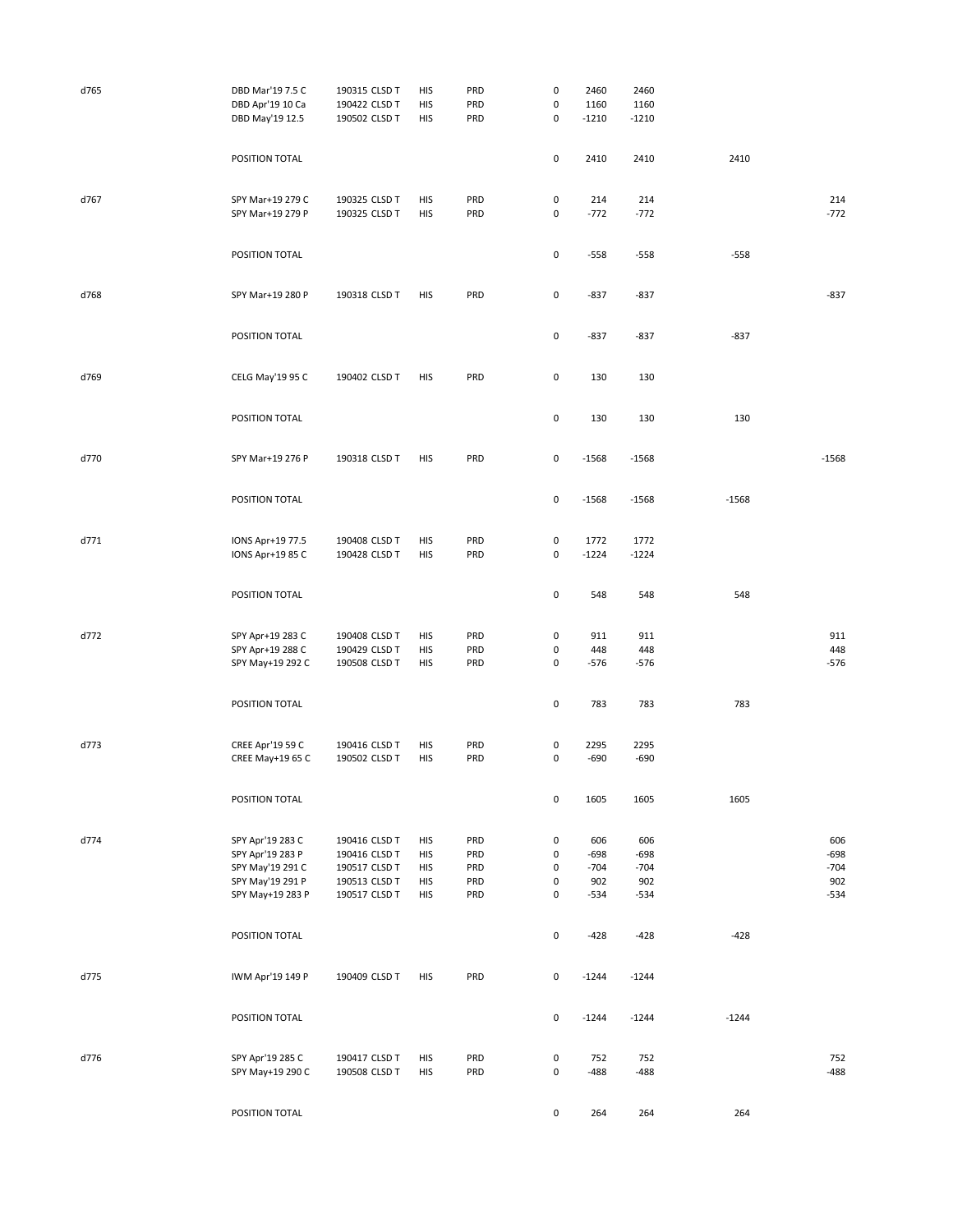| d765 | DBD Mar'19 7.5 C<br>DBD Apr'19 10 Ca<br>DBD May'19 12.5 | 190315 CLSD T<br>190422 CLSD T<br>190502 CLSD T | HIS<br>HIS<br>HIS | PRD<br>PRD<br>PRD | $\pmb{0}$<br>$\pmb{0}$<br>$\mathsf 0$ | 2460<br>1160<br>$-1210$ | 2460<br>1160<br>$-1210$ |         |                  |
|------|---------------------------------------------------------|-------------------------------------------------|-------------------|-------------------|---------------------------------------|-------------------------|-------------------------|---------|------------------|
|      | POSITION TOTAL                                          |                                                 |                   |                   |                                       |                         |                         |         |                  |
|      |                                                         |                                                 |                   |                   | 0                                     | 2410                    | 2410                    | 2410    |                  |
| d767 | SPY Mar+19 279 C<br>SPY Mar+19 279 P                    | 190325 CLSD T<br>190325 CLSD T                  | HIS<br>HIS        | PRD<br>PRD        | $\pmb{0}$<br>$\pmb{0}$                | 214<br>$-772$           | 214<br>$-772$           |         | 214<br>$-772$    |
|      | POSITION TOTAL                                          |                                                 |                   |                   | $\pmb{0}$                             | $-558$                  | $-558$                  | $-558$  |                  |
| d768 | SPY Mar+19 280 P                                        | 190318 CLSD T                                   | HIS               | PRD               | $\pmb{0}$                             | $-837$                  | $-837$                  |         | $-837$           |
|      | POSITION TOTAL                                          |                                                 |                   |                   | $\pmb{0}$                             | $-837$                  | $-837$                  | $-837$  |                  |
| d769 | CELG May'19 95 C                                        | 190402 CLSD T                                   | HIS               | PRD               | $\pmb{0}$                             | 130                     | 130                     |         |                  |
|      | POSITION TOTAL                                          |                                                 |                   |                   | 0                                     | 130                     | 130                     | 130     |                  |
| d770 | SPY Mar+19 276 P                                        | 190318 CLSD T                                   | HIS               | PRD               | $\pmb{0}$                             | $-1568$                 | $-1568$                 |         | $-1568$          |
|      | POSITION TOTAL                                          |                                                 |                   |                   | 0                                     | $-1568$                 | $-1568$                 | $-1568$ |                  |
| d771 | IONS Apr+19 77.5<br>IONS Apr+19 85 C                    | 190408 CLSD T<br>190428 CLSD T                  | HIS<br>HIS        | PRD<br>PRD        | $\pmb{0}$<br>0                        | 1772<br>$-1224$         | 1772<br>$-1224$         |         |                  |
|      | POSITION TOTAL                                          |                                                 |                   |                   | $\pmb{0}$                             | 548                     | 548                     | 548     |                  |
| d772 | SPY Apr+19 283 C                                        | 190408 CLSD T                                   | HIS               | PRD               | 0                                     | 911                     | 911                     |         | 911              |
|      | SPY Apr+19 288 C<br>SPY May+19 292 C                    | 190429 CLSD T<br>190508 CLSD T                  | HIS<br>HIS        | PRD<br>PRD        | 0<br>0                                | 448<br>$-576$           | 448<br>$-576$           |         | 448<br>$-576$    |
|      |                                                         |                                                 |                   |                   |                                       |                         |                         |         |                  |
|      | POSITION TOTAL                                          |                                                 |                   |                   | $\pmb{0}$                             | 783                     | 783                     | 783     |                  |
| d773 | CREE Apr'19 59 C                                        | 190416 CLSD T                                   | HIS               | PRD               | 0                                     | 2295                    | 2295                    |         |                  |
|      | CREE May+19 65 C                                        | 190502 CLSD T                                   | HIS               | PRD               | 0                                     | $-690$                  | $-690$                  |         |                  |
|      | POSITION TOTAL                                          |                                                 |                   |                   | 0                                     | 1605                    | 1605                    | 1605    |                  |
| d774 | SPY Apr'19 283 C                                        | 190416 CLSD T                                   | HIS               | PRD               | 0                                     | 606                     | 606                     |         | 606              |
|      | SPY Apr'19 283 P<br>SPY May'19 291 C                    | 190416 CLSD T<br>190517 CLSD T                  | HIS<br>HIS        | PRD<br>PRD        | $\pmb{0}$<br>$\pmb{0}$                | $-698$<br>$-704$        | $-698$<br>$-704$        |         | $-698$<br>$-704$ |
|      | SPY May'19 291 P                                        | 190513 CLSD T                                   | HIS               | PRD               | $\pmb{0}$                             | 902                     | 902                     |         | 902              |
|      | SPY May+19 283 P                                        | 190517 CLSD T                                   | HIS               | PRD               | $\pmb{0}$                             | $-534$                  | $-534$                  |         | $-534$           |
|      | POSITION TOTAL                                          |                                                 |                   |                   | $\pmb{0}$                             | $-428$                  | $-428$                  | $-428$  |                  |
| d775 | IWM Apr'19 149 P                                        | 190409 CLSD T                                   | HIS               | PRD               | $\mathsf{O}\xspace$                   | $-1244$                 | $-1244$                 |         |                  |
|      | POSITION TOTAL                                          |                                                 |                   |                   | $\pmb{0}$                             | $-1244$                 | $-1244$                 | $-1244$ |                  |
|      |                                                         |                                                 |                   |                   |                                       |                         |                         |         |                  |
| d776 | SPY Apr'19 285 C<br>SPY May+19 290 C                    | 190417 CLSD T<br>190508 CLSD T                  | HIS<br>HIS        | PRD<br>PRD        | $\pmb{0}$<br>$\pmb{0}$                | 752<br>-488             | 752<br>$-488$           |         | 752<br>$-488$    |
|      | POSITION TOTAL                                          |                                                 |                   |                   | $\mathsf 0$                           | 264                     | 264                     | 264     |                  |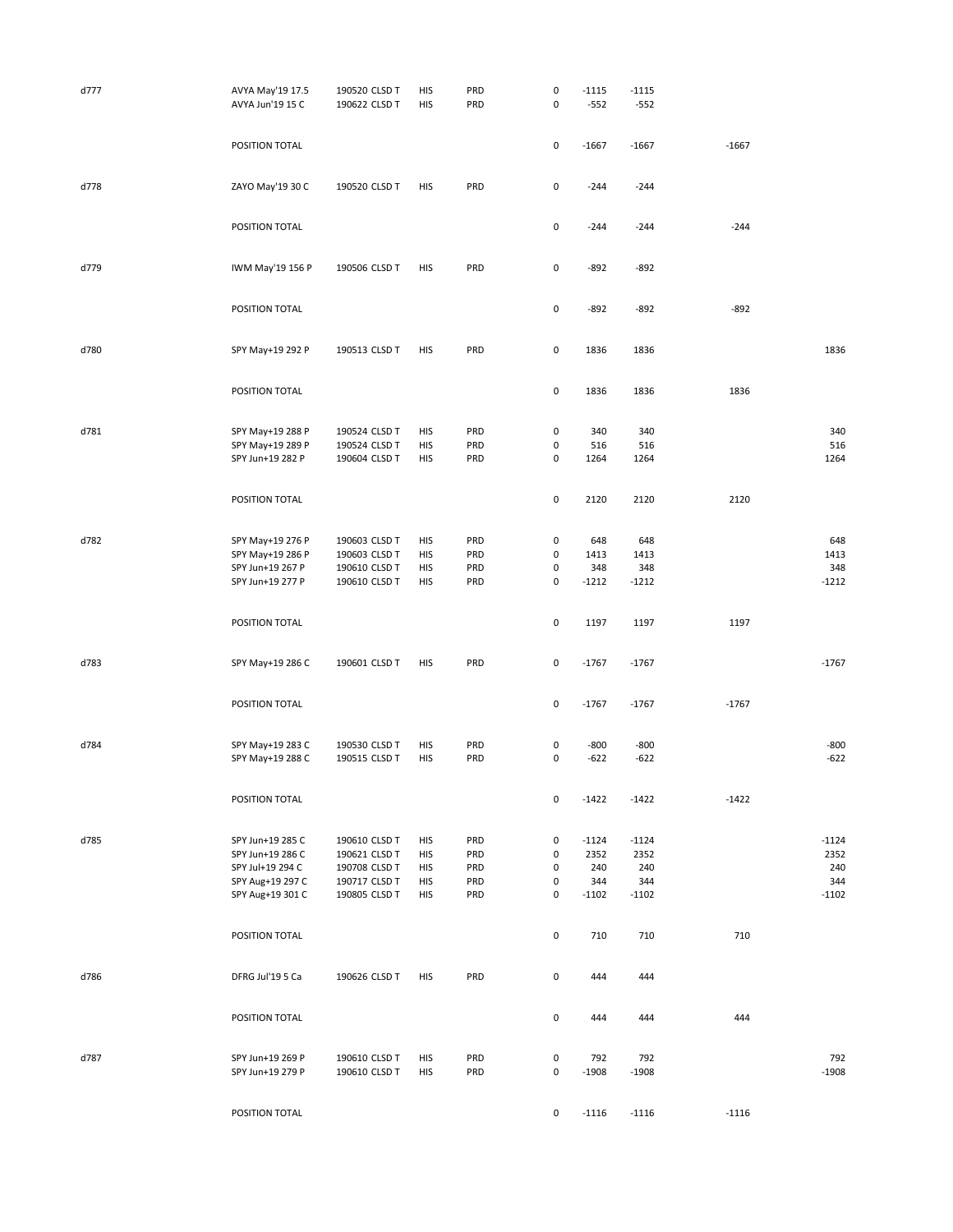| d777 | AVYA May'19 17.5<br>AVYA Jun'19 15 C | 190520 CLSD T<br>190622 CLSD T | HIS<br>HIS | PRD<br>PRD | $\pmb{0}$<br>$\pmb{0}$ | $-1115$<br>$-552$ | $-1115$<br>$-552$ |         |             |
|------|--------------------------------------|--------------------------------|------------|------------|------------------------|-------------------|-------------------|---------|-------------|
|      |                                      |                                |            |            |                        |                   |                   |         |             |
|      | POSITION TOTAL                       |                                |            |            | $\pmb{0}$              | $-1667$           | $-1667$           | $-1667$ |             |
| d778 | ZAYO May'19 30 C                     | 190520 CLSD T                  | HIS        | PRD        | $\pmb{0}$              | $-244$            | $-244$            |         |             |
|      | POSITION TOTAL                       |                                |            |            | $\pmb{0}$              | $-244$            | $-244$            | $-244$  |             |
| d779 | IWM May'19 156 P                     | 190506 CLSD T                  | <b>HIS</b> | PRD        | $\pmb{0}$              | $-892$            | $-892$            |         |             |
|      | POSITION TOTAL                       |                                |            |            | $\pmb{0}$              | $-892$            | $-892$            | $-892$  |             |
| d780 | SPY May+19 292 P                     | 190513 CLSD T                  | HIS        | PRD        | $\pmb{0}$              | 1836              | 1836              |         | 1836        |
|      |                                      |                                |            |            |                        |                   |                   |         |             |
|      | POSITION TOTAL                       |                                |            |            | $\pmb{0}$              | 1836              | 1836              | 1836    |             |
| d781 | SPY May+19 288 P                     | 190524 CLSD T                  | HIS        | PRD        | $\pmb{0}$              | 340               | 340               |         | 340         |
|      | SPY May+19 289 P                     | 190524 CLSD T                  | HIS        | PRD        | $\pmb{0}$              | 516               | 516               |         | 516         |
|      | SPY Jun+19 282 P                     | 190604 CLSD T                  | HIS        | PRD        | $\pmb{0}$              | 1264              | 1264              |         | 1264        |
|      |                                      |                                |            |            |                        |                   |                   |         |             |
|      | POSITION TOTAL                       |                                |            |            | $\pmb{0}$              | 2120              | 2120              | 2120    |             |
|      |                                      |                                |            |            |                        |                   |                   |         |             |
| d782 | SPY May+19 276 P<br>SPY May+19 286 P | 190603 CLSD T<br>190603 CLSD T | HIS<br>HIS | PRD<br>PRD | $\pmb{0}$<br>0         | 648<br>1413       | 648<br>1413       |         | 648<br>1413 |
|      | SPY Jun+19 267 P                     | 190610 CLSD T                  | HIS        | PRD        | $\pmb{0}$              | 348               | 348               |         | 348         |
|      | SPY Jun+19 277 P                     | 190610 CLSD T                  | HIS        | PRD        | $\pmb{0}$              | $-1212$           | $-1212$           |         | $-1212$     |
|      |                                      |                                |            |            |                        |                   |                   |         |             |
|      | POSITION TOTAL                       |                                |            |            | $\pmb{0}$              | 1197              | 1197              | 1197    |             |
| d783 | SPY May+19 286 C                     | 190601 CLSD T                  | HIS        | PRD        | 0                      | $-1767$           | $-1767$           |         | $-1767$     |
|      | POSITION TOTAL                       |                                |            |            | $\pmb{0}$              | $-1767$           | $-1767$           | $-1767$ |             |
|      |                                      |                                |            |            |                        |                   |                   |         |             |
| d784 | SPY May+19 283 C                     | 190530 CLSD T                  | HIS        | PRD        | 0                      | $-800$            | $-800$            |         | $-800$      |
|      | SPY May+19 288 C                     | 190515 CLSD T                  | HIS        | PRD        | 0                      | $-622$            | $-622$            |         | $-622$      |
|      | POSITION TOTAL                       |                                |            |            | 0                      | $-1422$           | $-1422$           | $-1422$ |             |
|      |                                      |                                |            |            |                        |                   |                   |         |             |
| d785 | SPY Jun+19 285 C                     | 190610 CLSD T                  | HIS        | PRD        | 0                      | $-1124$           | $-1124$           |         | $-1124$     |
|      | SPY Jun+19 286 C                     | 190621 CLSD T                  | HIS        | PRD        | $\pmb{0}$              | 2352              | 2352              |         | 2352        |
|      | SPY Jul+19 294 C                     | 190708 CLSD T                  | <b>HIS</b> | PRD        | $\pmb{0}$              | 240               | 240               |         | 240         |
|      | SPY Aug+19 297 C                     | 190717 CLSD T                  | HIS        | PRD        | $\pmb{0}$              | 344               | 344               |         | 344         |
|      | SPY Aug+19 301 C                     | 190805 CLSD T                  | HIS        | PRD        | $\pmb{0}$              | $-1102$           | $-1102$           |         | $-1102$     |
|      | POSITION TOTAL                       |                                |            |            | $\pmb{0}$              | 710               | 710               | 710     |             |
| d786 | DFRG Jul'19 5 Ca                     | 190626 CLSD T                  | HIS        | PRD        | $\mathsf{O}\xspace$    | 444               | 444               |         |             |
|      |                                      |                                |            |            |                        |                   |                   |         |             |
|      | POSITION TOTAL                       |                                |            |            | $\pmb{0}$              | 444               | 444               | 444     |             |
|      |                                      |                                |            |            |                        |                   |                   |         |             |
| d787 | SPY Jun+19 269 P                     | 190610 CLSD T                  | HIS        | PRD        | $\pmb{0}$              | 792               | 792               |         | 792         |
|      | SPY Jun+19 279 P                     | 190610 CLSD T                  | HIS        | PRD        | $\pmb{0}$              | $-1908$           | $-1908$           |         | $-1908$     |
|      | POSITION TOTAL                       |                                |            |            | 0                      | $-1116$           | $-1116$           | $-1116$ |             |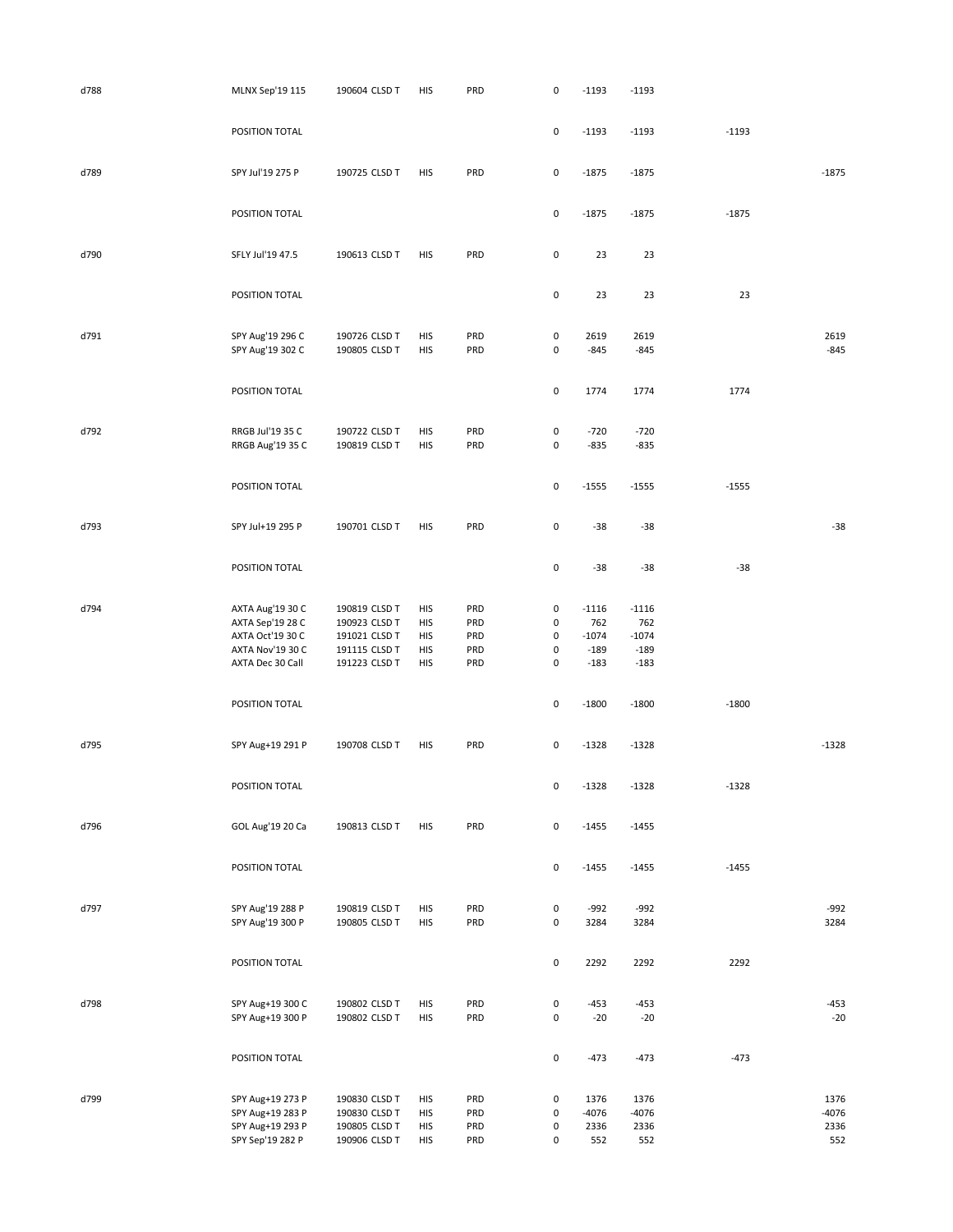| d788 | MLNX Sep'19 115  | 190604 CLSD T                  | HIS        | PRD | $\pmb{0}$           | $-1193$ | $-1193$ |         |         |
|------|------------------|--------------------------------|------------|-----|---------------------|---------|---------|---------|---------|
|      |                  |                                |            |     |                     |         |         |         |         |
|      | POSITION TOTAL   |                                |            |     | $\pmb{0}$           | $-1193$ | $-1193$ | $-1193$ |         |
|      |                  |                                |            |     |                     |         |         |         |         |
|      |                  |                                |            |     |                     |         |         |         |         |
| d789 | SPY Jul'19 275 P | 190725 CLSD T                  | HIS        | PRD | $\pmb{0}$           | $-1875$ | $-1875$ |         | $-1875$ |
|      |                  |                                |            |     |                     |         |         |         |         |
|      |                  |                                |            |     |                     |         |         |         |         |
|      | POSITION TOTAL   |                                |            |     | $\pmb{0}$           | $-1875$ | $-1875$ | $-1875$ |         |
|      |                  |                                |            |     |                     |         |         |         |         |
| d790 | SFLY Jul'19 47.5 | 190613 CLSD T                  | HIS        | PRD | $\pmb{0}$           | 23      | 23      |         |         |
|      |                  |                                |            |     |                     |         |         |         |         |
|      |                  |                                |            |     |                     |         |         |         |         |
|      | POSITION TOTAL   |                                |            |     | $\pmb{0}$           | 23      | 23      | 23      |         |
|      |                  |                                |            |     |                     |         |         |         |         |
| d791 | SPY Aug'19 296 C | 190726 CLSD T                  | HIS        | PRD | $\pmb{0}$           | 2619    | 2619    |         | 2619    |
|      | SPY Aug'19 302 C | 190805 CLSD T                  | HIS        | PRD | $\mathsf 0$         | $-845$  | $-845$  |         | $-845$  |
|      |                  |                                |            |     |                     |         |         |         |         |
|      |                  |                                |            |     |                     |         |         |         |         |
|      | POSITION TOTAL   |                                |            |     | $\mathsf 0$         | 1774    | 1774    | 1774    |         |
|      |                  |                                |            |     |                     |         |         |         |         |
| d792 | RRGB Jul'19 35 C |                                | HIS        | PRD | 0                   | $-720$  | $-720$  |         |         |
|      | RRGB Aug'19 35 C | 190722 CLSD T<br>190819 CLSD T | HIS        | PRD | 0                   | $-835$  | $-835$  |         |         |
|      |                  |                                |            |     |                     |         |         |         |         |
|      |                  |                                |            |     |                     |         |         |         |         |
|      | POSITION TOTAL   |                                |            |     | $\mathsf 0$         | $-1555$ | $-1555$ | $-1555$ |         |
|      |                  |                                |            |     |                     |         |         |         |         |
|      |                  |                                |            |     |                     |         |         |         |         |
| d793 | SPY Jul+19 295 P | 190701 CLSD T                  | HIS        | PRD | 0                   | $-38$   | $-38$   |         | $-38$   |
|      |                  |                                |            |     |                     |         |         |         |         |
|      | POSITION TOTAL   |                                |            |     | $\pmb{0}$           | $-38$   | $-38$   | $-38$   |         |
|      |                  |                                |            |     |                     |         |         |         |         |
|      |                  |                                |            |     |                     |         |         |         |         |
| d794 | AXTA Aug'19 30 C | 190819 CLSD T                  | HIS        | PRD | 0                   | $-1116$ | $-1116$ |         |         |
|      | AXTA Sep'19 28 C | 190923 CLSD T                  | HIS        | PRD | 0                   | 762     | 762     |         |         |
|      | AXTA Oct'19 30 C | 191021 CLSD T                  | HIS        | PRD | $\pmb{0}$           | $-1074$ | $-1074$ |         |         |
|      | AXTA Nov'19 30 C | 191115 CLSD T                  | HIS        | PRD | $\pmb{0}$           | $-189$  | $-189$  |         |         |
|      | AXTA Dec 30 Call | 191223 CLSD T                  | <b>HIS</b> | PRD | $\mathsf 0$         | $-183$  | $-183$  |         |         |
|      |                  |                                |            |     |                     |         |         |         |         |
|      | POSITION TOTAL   |                                |            |     | 0                   | $-1800$ | $-1800$ | $-1800$ |         |
|      |                  |                                |            |     |                     |         |         |         |         |
|      |                  |                                |            |     |                     |         |         |         |         |
| d795 | SPY Aug+19 291 P | 190708 CLSD T                  | HIS        | PRD | 0                   | $-1328$ | $-1328$ |         | $-1328$ |
|      |                  |                                |            |     |                     |         |         |         |         |
|      | POSITION TOTAL   |                                |            |     | 0                   | -1328   | -1328   | $-1328$ |         |
|      |                  |                                |            |     |                     |         |         |         |         |
|      |                  |                                |            |     |                     |         |         |         |         |
| d796 | GOL Aug'19 20 Ca | 190813 CLSD T                  | HIS        | PRD | $\pmb{0}$           | $-1455$ | $-1455$ |         |         |
|      |                  |                                |            |     |                     |         |         |         |         |
|      |                  |                                |            |     |                     |         |         |         |         |
|      | POSITION TOTAL   |                                |            |     | $\mathsf{O}\xspace$ | $-1455$ | $-1455$ | $-1455$ |         |
|      |                  |                                |            |     |                     |         |         |         |         |
| d797 | SPY Aug'19 288 P | 190819 CLSD T                  | HIS        | PRD | $\pmb{0}$           | $-992$  | $-992$  |         | $-992$  |
|      | SPY Aug'19 300 P | 190805 CLSD T                  | HIS        | PRD | $\pmb{0}$           | 3284    | 3284    |         | 3284    |
|      |                  |                                |            |     |                     |         |         |         |         |
|      |                  |                                |            |     |                     |         |         |         |         |
|      | POSITION TOTAL   |                                |            |     | $\pmb{0}$           | 2292    | 2292    | 2292    |         |
|      |                  |                                |            |     |                     |         |         |         |         |
| d798 | SPY Aug+19 300 C | 190802 CLSD T                  | HIS        | PRD | $\pmb{0}$           | $-453$  | $-453$  |         | $-453$  |
|      | SPY Aug+19 300 P | 190802 CLSD T                  | HIS        | PRD | $\mathsf{O}\xspace$ | $-20$   | $-20$   |         | $-20$   |
|      |                  |                                |            |     |                     |         |         |         |         |
|      |                  |                                |            |     |                     |         |         |         |         |
|      | POSITION TOTAL   |                                |            |     | $\pmb{0}$           | $-473$  | $-473$  | $-473$  |         |
|      |                  |                                |            |     |                     |         |         |         |         |
| d799 | SPY Aug+19 273 P | 190830 CLSD T                  | HIS        | PRD | $\pmb{0}$           | 1376    | 1376    |         | 1376    |
|      | SPY Aug+19 283 P | 190830 CLSD T                  | HIS        | PRD | $\pmb{0}$           | $-4076$ | $-4076$ |         | $-4076$ |
|      | SPY Aug+19 293 P | 190805 CLSD T                  | HIS        | PRD | $\pmb{0}$           | 2336    | 2336    |         | 2336    |
|      |                  |                                |            |     |                     |         |         |         |         |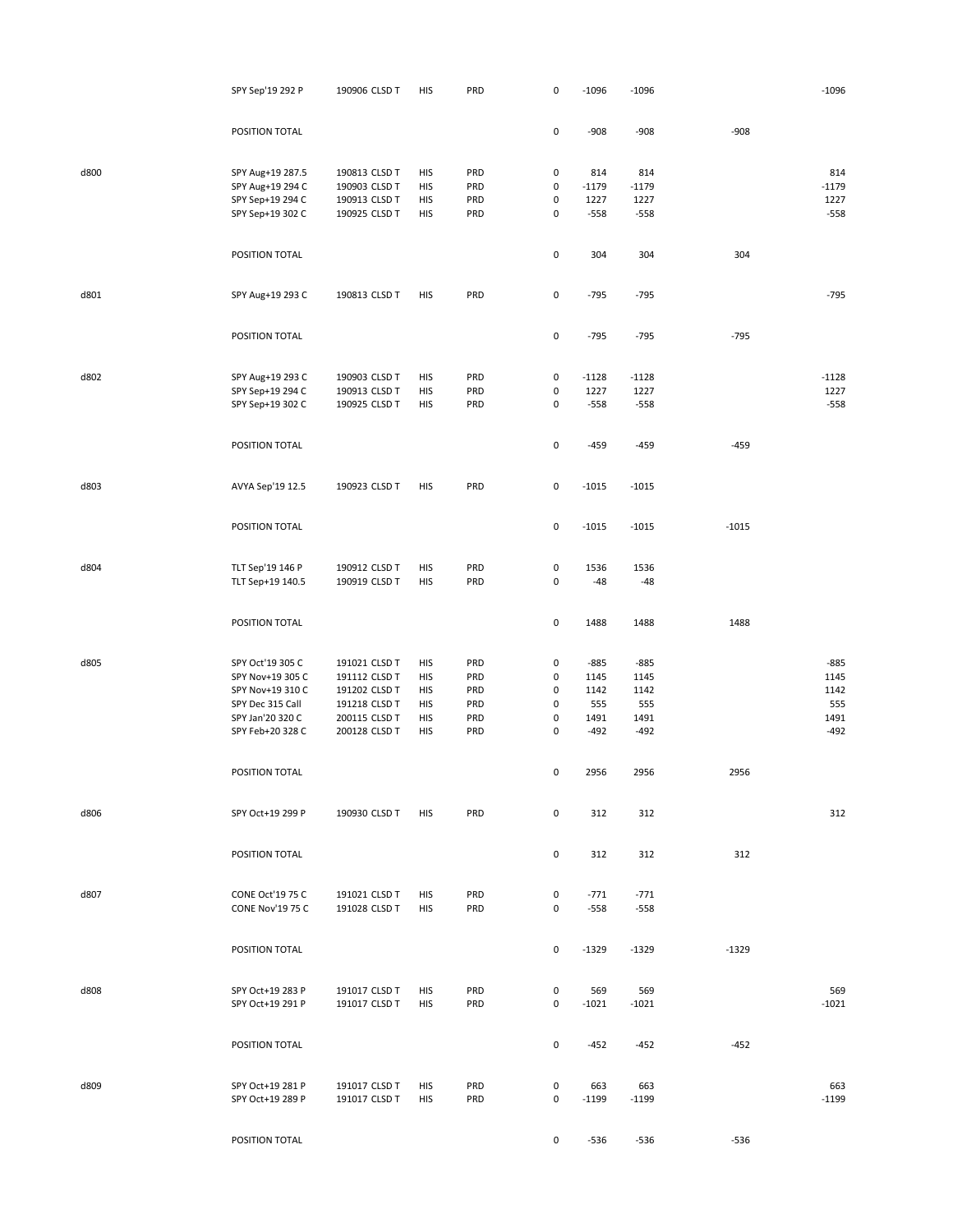|      | SPY Sep'19 292 P                            | 190906 CLSD T                  | HIS        | PRD        | 0                | $-1096$          | $-1096$        |         | $-1096$        |
|------|---------------------------------------------|--------------------------------|------------|------------|------------------|------------------|----------------|---------|----------------|
|      | POSITION TOTAL                              |                                |            |            | $\pmb{0}$        | $-908$           | $-908$         | $-908$  |                |
|      |                                             |                                |            |            |                  |                  |                |         |                |
| d800 | SPY Aug+19 287.5                            | 190813 CLSD T                  | HIS        | PRD        | 0                | 814              | 814            |         | 814            |
|      | SPY Aug+19 294 C                            | 190903 CLSD T                  | HIS        | PRD        | 0                | $-1179$          | $-1179$        |         | $-1179$        |
|      | SPY Sep+19 294 C                            | 190913 CLSD T                  | HIS        | PRD        | $\pmb{0}$        | 1227             | 1227           |         | 1227           |
|      | SPY Sep+19 302 C                            | 190925 CLSD T                  | HIS        | PRD        | $\pmb{0}$        | $-558$           | $-558$         |         | $-558$         |
|      | POSITION TOTAL                              |                                |            |            | $\pmb{0}$        | 304              | 304            | 304     |                |
|      |                                             |                                |            |            |                  |                  |                |         | $-795$         |
| d801 | SPY Aug+19 293 C                            | 190813 CLSD T                  | HIS        | PRD        | $\mathsf 0$      | $-795$           | $-795$         |         |                |
|      | POSITION TOTAL                              |                                |            |            | $\pmb{0}$        | $-795$           | $-795$         | $-795$  |                |
| d802 | SPY Aug+19 293 C                            | 190903 CLSD T                  | HIS        | PRD        | $\pmb{0}$        | $-1128$          | $-1128$        |         | $-1128$        |
|      | SPY Sep+19 294 C                            | 190913 CLSD T                  | HIS        | PRD        | $\pmb{0}$        | 1227             | 1227           |         | 1227           |
|      | SPY Sep+19 302 C                            | 190925 CLSD T                  | HIS        | PRD        | 0                | $-558$           | $-558$         |         | $-558$         |
|      | POSITION TOTAL                              |                                |            |            | $\pmb{0}$        | $-459$           | $-459$         | $-459$  |                |
|      |                                             |                                |            |            |                  |                  |                |         |                |
| d803 | AVYA Sep'19 12.5                            | 190923 CLSD T                  | HIS        | PRD        | $\pmb{0}$        | $-1015$          | $-1015$        |         |                |
|      | POSITION TOTAL                              |                                |            |            | $\pmb{0}$        | $-1015$          | $-1015$        | $-1015$ |                |
|      |                                             |                                |            |            |                  |                  |                |         |                |
| d804 | TLT Sep'19 146 P                            | 190912 CLSD T                  | HIS        | PRD        | $\pmb{0}$        | 1536             | 1536           |         |                |
|      | TLT Sep+19 140.5                            | 190919 CLSD T                  | HIS        | PRD        | $\pmb{0}$        | $-48$            | $-48$          |         |                |
|      | POSITION TOTAL                              |                                |            |            | $\pmb{0}$        | 1488             | 1488           | 1488    |                |
| d805 | SPY Oct'19 305 C                            | 191021 CLSD T                  | HIS        | PRD        | 0                | $-885$           | $-885$         |         | $-885$         |
|      | SPY Nov+19 305 C                            | 191112 CLSD T                  | <b>HIS</b> | PRD        | 0                | 1145             | 1145           |         | 1145           |
|      | SPY Nov+19 310 C                            | 191202 CLSD T                  | <b>HIS</b> | PRD        | 0                | 1142             | 1142           |         | 1142           |
|      | SPY Dec 315 Call                            | 191218 CLSD T                  | <b>HIS</b> | PRD        | 0                | 555              | 555            |         | 555            |
|      | SPY Jan'20 320 C                            | 200115 CLSD T                  | <b>HIS</b> | PRD        | 0                | 1491             | 1491           |         | 1491           |
|      | SPY Feb+20 328 C                            | 200128 CLSD T                  | HIS        | PRD        | $\pmb{0}$        | $-492$           | $-492$         |         | $-492$         |
|      |                                             |                                |            |            |                  |                  |                |         |                |
|      | POSITION TOTAL                              |                                |            |            | $\pmb{0}$        | 2956             | 2956           | 2956    |                |
| d806 | SPY Oct+19 299 P                            | 190930 CLSD T                  | HIS        | PRD        | 0                | 312              | 312            |         | 312            |
|      | POSITION TOTAL                              |                                |            |            | 0                | 312              | 312            | 312     |                |
|      |                                             |                                |            |            |                  |                  |                |         |                |
| d807 | CONE Oct'19 75 C<br><b>CONE Nov'19 75 C</b> | 191021 CLSD T<br>191028 CLSD T | HIS<br>HIS | PRD<br>PRD | 0<br>0           | $-771$<br>$-558$ | $-771$<br>-558 |         |                |
|      | POSITION TOTAL                              |                                |            |            | 0                | $-1329$          | $-1329$        | $-1329$ |                |
|      |                                             |                                |            |            |                  |                  |                |         |                |
| d808 | SPY Oct+19 283 P<br>SPY Oct+19 291 P        | 191017 CLSD T<br>191017 CLSD T | HIS<br>HIS | PRD<br>PRD | 0<br>0           | 569<br>$-1021$   | 569<br>$-1021$ |         | 569<br>$-1021$ |
|      | POSITION TOTAL                              |                                |            |            | 0                | $-452$           | $-452$         | $-452$  |                |
|      |                                             |                                |            |            |                  |                  |                |         |                |
| d809 | SPY Oct+19 281 P<br>SPY Oct+19 289 P        | 191017 CLSD T<br>191017 CLSD T | HIS<br>HIS | PRD<br>PRD | $\mathsf 0$<br>0 | 663<br>$-1199$   | 663<br>$-1199$ |         | 663<br>$-1199$ |
|      | POSITION TOTAL                              |                                |            |            | 0                | $-536$           | -536           | $-536$  |                |
|      |                                             |                                |            |            |                  |                  |                |         |                |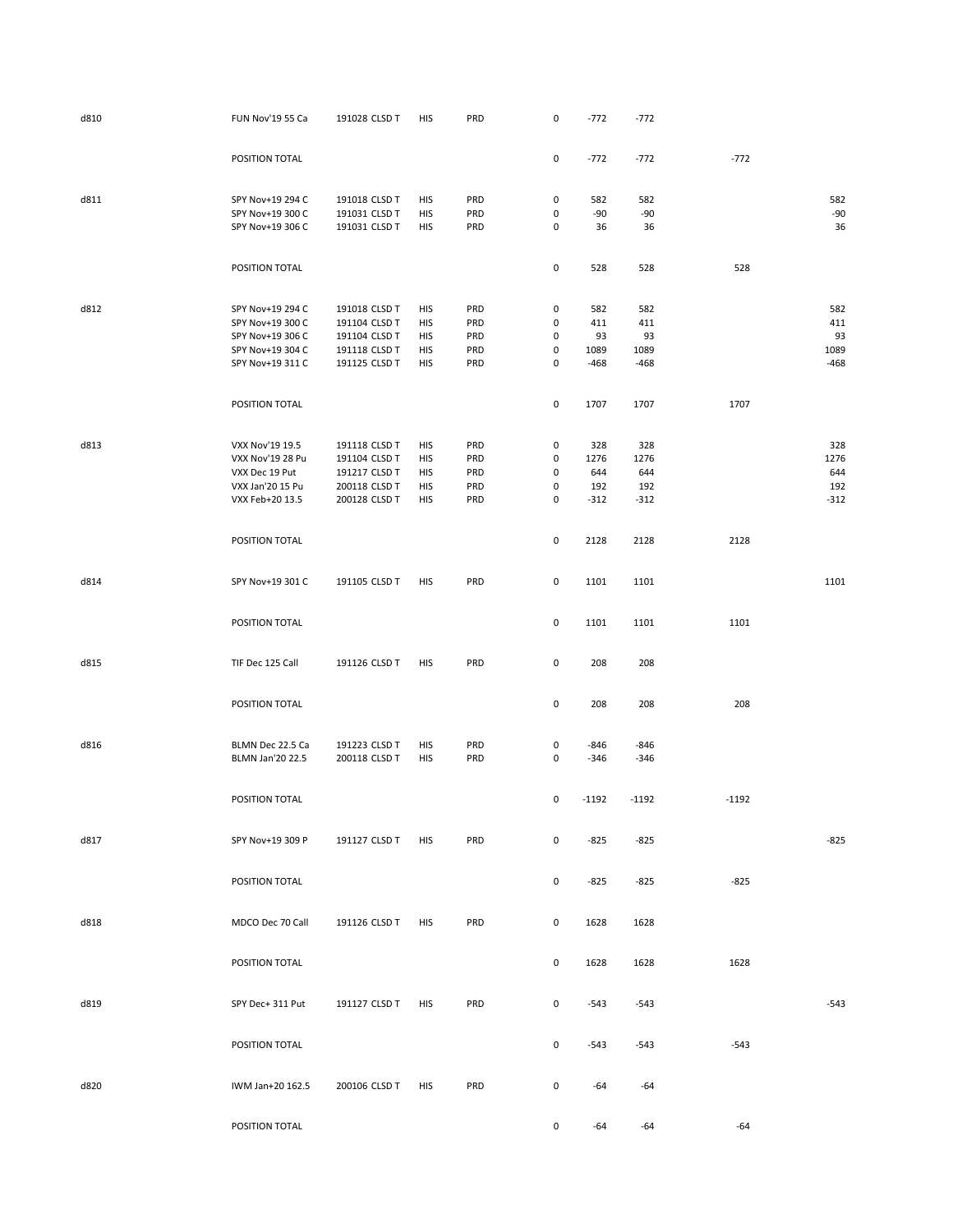| d810 | FUN Nov'19 55 Ca                     | 191028 CLSD T                  | <b>HIS</b>        | PRD        | 0                   | $-772$           | $-772$           |         |             |
|------|--------------------------------------|--------------------------------|-------------------|------------|---------------------|------------------|------------------|---------|-------------|
|      | POSITION TOTAL                       |                                |                   |            | 0                   | $-772$           | $-772$           | $-772$  |             |
| d811 | SPY Nov+19 294 C                     | 191018 CLSD T                  | HIS               | PRD        | 0                   | 582              | 582              |         | 582         |
|      | SPY Nov+19 300 C<br>SPY Nov+19 306 C | 191031 CLSD T<br>191031 CLSD T | HIS<br>HIS        | PRD<br>PRD | 0<br>0              | -90<br>36        | $-90$<br>36      |         | $-90$<br>36 |
|      | POSITION TOTAL                       |                                |                   |            | $\pmb{0}$           | 528              | 528              | 528     |             |
| d812 | SPY Nov+19 294 C                     | 191018 CLSD T                  | HIS               | PRD        | 0                   | 582              | 582              |         | 582         |
|      | SPY Nov+19 300 C                     | 191104 CLSD T                  | <b>HIS</b>        | PRD        | 0                   | 411              | 411              |         | 411         |
|      | SPY Nov+19 306 C                     | 191104 CLSD T                  | HIS               | PRD        | 0                   | 93               | 93               |         | 93          |
|      | SPY Nov+19 304 C                     | 191118 CLSD T                  | HIS               | PRD        | 0                   | 1089             | 1089             |         | 1089        |
|      | SPY Nov+19 311 C                     | 191125 CLSD T                  | HIS               | PRD        | 0                   | $-468$           | $-468$           |         | $-468$      |
|      | POSITION TOTAL                       |                                |                   |            | $\mathsf{O}\xspace$ | 1707             | 1707             | 1707    |             |
| d813 | VXX Nov'19 19.5                      | 191118 CLSD T                  | HIS               | PRD        | 0                   | 328              | 328              |         | 328         |
|      | VXX Nov'19 28 Pu                     | 191104 CLSD T                  | HIS               | PRD        | 0                   | 1276             | 1276             |         | 1276        |
|      | VXX Dec 19 Put                       | 191217 CLSD T                  | HIS               | PRD        | 0                   | 644              | 644              |         | 644         |
|      | VXX Jan'20 15 Pu                     | 200118 CLSD T                  | HIS               | PRD        | 0                   | 192              | 192              |         | 192         |
|      | VXX Feb+20 13.5                      | 200128 CLSD T                  | HIS               | PRD        | 0                   | $-312$           | $-312$           |         | $-312$      |
|      | POSITION TOTAL                       |                                |                   |            | 0                   | 2128             | 2128             | 2128    |             |
| d814 | SPY Nov+19 301 C                     | 191105 CLSD T                  | HIS               | PRD        | $\mathsf{O}\xspace$ | 1101             | 1101             |         | 1101        |
|      | POSITION TOTAL                       |                                |                   |            | 0                   | 1101             | 1101             | 1101    |             |
| d815 | TIF Dec 125 Call                     | 191126 CLSD T                  | <b>HIS</b>        | PRD        | 0                   | 208              | 208              |         |             |
|      | POSITION TOTAL                       |                                |                   |            | 0                   | 208              | 208              | 208     |             |
| d816 | BLMN Dec 22.5 Ca<br>BLMN Jan'20 22.5 | 191223 CLSD T<br>200118 CLSD T | HIS<br><b>HIS</b> | PRD<br>PRD | 0<br>0              | $-846$<br>$-346$ | $-846$<br>$-346$ |         |             |
|      | POSITION TOTAL                       |                                |                   |            | 0                   | $-1192$          | $-1192$          | $-1192$ |             |
| d817 | SPY Nov+19 309 P                     | 191127 CLSD T                  | HIS               | PRD        | $\mathsf 0$         | $-825$           | $-825$           |         | $-825$      |
|      | POSITION TOTAL                       |                                |                   |            | 0                   | $-825$           | $-825$           | $-825$  |             |
| d818 | MDCO Dec 70 Call                     | 191126 CLSD T                  | <b>HIS</b>        | PRD        | $\mathsf 0$         | 1628             | 1628             |         |             |
|      | POSITION TOTAL                       |                                |                   |            | 0                   | 1628             | 1628             | 1628    |             |
| d819 | SPY Dec+ 311 Put                     | 191127 CLSD T                  | HIS               | PRD        | 0                   | $-543$           | $-543$           |         | $-543$      |
|      | POSITION TOTAL                       |                                |                   |            | 0                   | $-543$           | $-543$           | $-543$  |             |
| d820 | IWM Jan+20 162.5                     | 200106 CLSD T                  | <b>HIS</b>        | PRD        | 0                   | -64              | -64              |         |             |
|      | POSITION TOTAL                       |                                |                   |            | 0                   | -64              | $-64$            | $-64$   |             |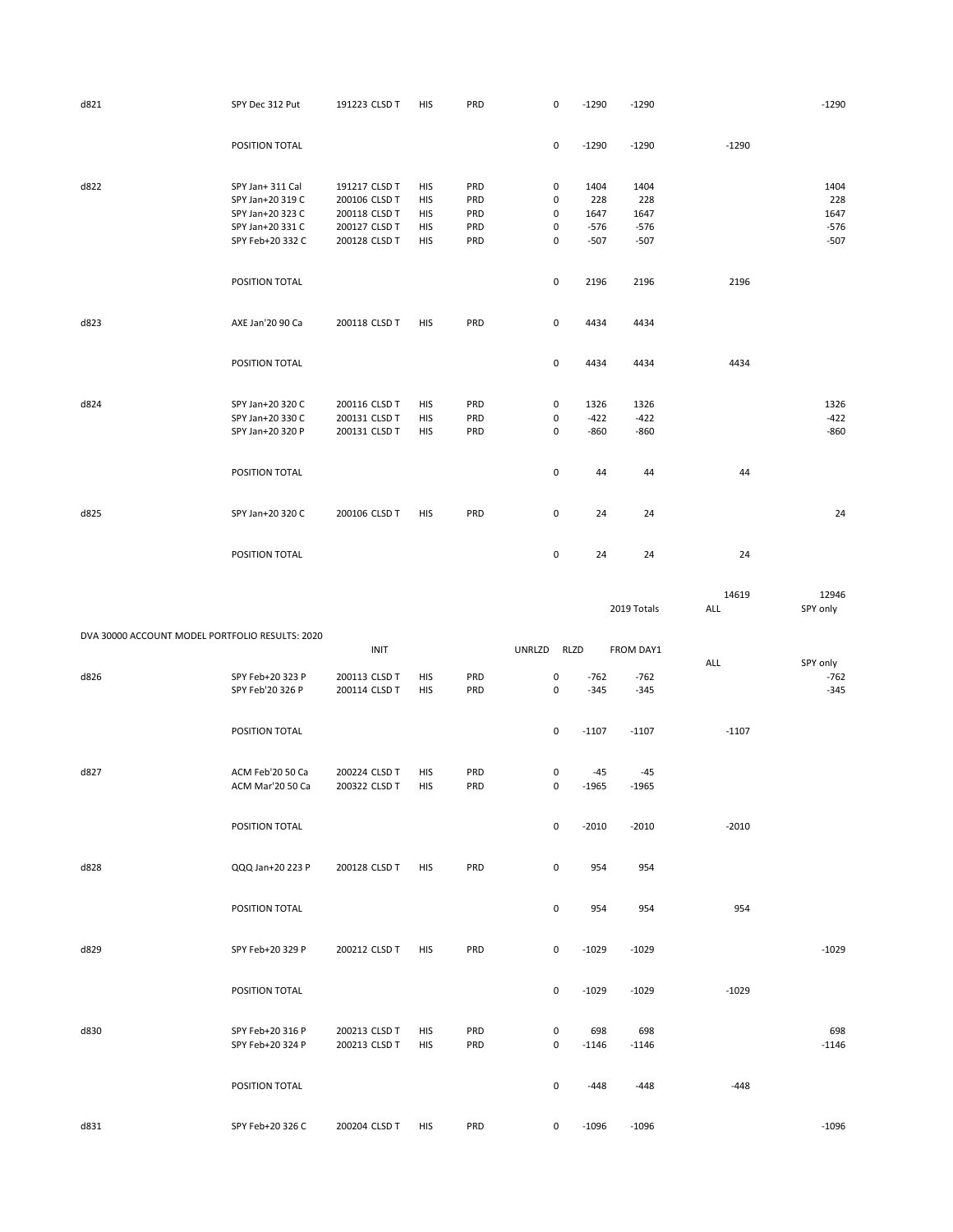| d821 | SPY Dec 312 Put                                                                                  | 191223 CLSD T                                                                     | <b>HIS</b>                                                         | PRD                             | 0                     | $-1290$                                 | $-1290$                                 |         | $-1290$                                 |
|------|--------------------------------------------------------------------------------------------------|-----------------------------------------------------------------------------------|--------------------------------------------------------------------|---------------------------------|-----------------------|-----------------------------------------|-----------------------------------------|---------|-----------------------------------------|
|      | POSITION TOTAL                                                                                   |                                                                                   |                                                                    |                                 | 0                     | $-1290$                                 | $-1290$                                 | $-1290$ |                                         |
| d822 | SPY Jan+ 311 Cal<br>SPY Jan+20 319 C<br>SPY Jan+20 323 C<br>SPY Jan+20 331 C<br>SPY Feb+20 332 C | 191217 CLSD T<br>200106 CLSD T<br>200118 CLSD T<br>200127 CLSD T<br>200128 CLSD T | <b>HIS</b><br><b>HIS</b><br><b>HIS</b><br><b>HIS</b><br><b>HIS</b> | PRD<br>PRD<br>PRD<br>PRD<br>PRD | 0<br>0<br>0<br>0<br>0 | 1404<br>228<br>1647<br>$-576$<br>$-507$ | 1404<br>228<br>1647<br>$-576$<br>$-507$ |         | 1404<br>228<br>1647<br>$-576$<br>$-507$ |
|      | POSITION TOTAL                                                                                   |                                                                                   |                                                                    |                                 | 0                     | 2196                                    | 2196                                    | 2196    |                                         |
| d823 | AXE Jan'20 90 Ca<br>POSITION TOTAL                                                               | 200118 CLSD T                                                                     | <b>HIS</b>                                                         | PRD                             | 0<br>0                | 4434<br>4434                            | 4434<br>4434                            | 4434    |                                         |
| d824 | SPY Jan+20 320 C<br>SPY Jan+20 330 C<br>SPY Jan+20 320 P                                         | 200116 CLSD T<br>200131 CLSD T<br>200131 CLSD T                                   | <b>HIS</b><br><b>HIS</b><br><b>HIS</b>                             | PRD<br>PRD<br>PRD               | 0<br>0<br>0           | 1326<br>$-422$<br>$-860$                | 1326<br>$-422$<br>$-860$                |         | 1326<br>$-422$<br>$-860$                |
|      | POSITION TOTAL                                                                                   |                                                                                   |                                                                    |                                 | 0                     | 44                                      | 44                                      | 44      |                                         |
| d825 | SPY Jan+20 320 C<br>POSITION TOTAL                                                               | 200106 CLSD T                                                                     | <b>HIS</b>                                                         | PRD                             | 0<br>0                | 24<br>24                                | 24<br>24                                | 24      | 24                                      |
|      |                                                                                                  |                                                                                   |                                                                    |                                 |                       |                                         |                                         |         |                                         |

|                                                 |                  |               |            |     |             |             |         | 2019 Totals | 14619<br>ALL | 12946<br>SPY only |
|-------------------------------------------------|------------------|---------------|------------|-----|-------------|-------------|---------|-------------|--------------|-------------------|
|                                                 |                  |               |            |     |             |             |         |             |              |                   |
| DVA 30000 ACCOUNT MODEL PORTFOLIO RESULTS: 2020 |                  | <b>INIT</b>   |            |     | UNRLZD RLZD |             |         | FROM DAY1   |              |                   |
|                                                 |                  |               |            |     |             |             |         |             | ALL          | SPY only          |
| d826                                            | SPY Feb+20 323 P | 200113 CLSD T | <b>HIS</b> | PRD |             | 0           | $-762$  | $-762$      |              | $-762$            |
|                                                 | SPY Feb'20 326 P | 200114 CLSD T | <b>HIS</b> | PRD |             | $\mathbf 0$ | $-345$  | $-345$      |              | $-345$            |
|                                                 | POSITION TOTAL   |               |            |     |             | $\mathsf 0$ | $-1107$ | $-1107$     | $-1107$      |                   |
| d827                                            | ACM Feb'20 50 Ca | 200224 CLSD T | <b>HIS</b> | PRD |             | 0           | $-45$   | $-45$       |              |                   |
|                                                 | ACM Mar'20 50 Ca | 200322 CLSD T | <b>HIS</b> | PRD |             | $\mathbf 0$ | $-1965$ | $-1965$     |              |                   |
|                                                 | POSITION TOTAL   |               |            |     |             | $\mathsf 0$ | $-2010$ | $-2010$     | $-2010$      |                   |
| d828                                            | QQQ Jan+20 223 P | 200128 CLSD T | <b>HIS</b> | PRD |             | 0           | 954     | 954         |              |                   |
|                                                 | POSITION TOTAL   |               |            |     |             | $\mathsf 0$ | 954     | 954         | 954          |                   |
| d829                                            | SPY Feb+20 329 P | 200212 CLSD T | <b>HIS</b> | PRD |             | $\mathbf 0$ | $-1029$ | $-1029$     |              | $-1029$           |
|                                                 | POSITION TOTAL   |               |            |     |             | 0           | $-1029$ | $-1029$     | $-1029$      |                   |
| d830                                            | SPY Feb+20 316 P | 200213 CLSD T | <b>HIS</b> | PRD |             | 0           | 698     | 698         |              | 698               |
|                                                 | SPY Feb+20 324 P | 200213 CLSD T | <b>HIS</b> | PRD |             | $\mathbf 0$ | $-1146$ | $-1146$     |              | $-1146$           |
|                                                 | POSITION TOTAL   |               |            |     |             | $\mathsf 0$ | $-448$  | $-448$      | $-448$       |                   |
| d831                                            | SPY Feb+20 326 C | 200204 CLSD T | <b>HIS</b> | PRD |             | $\mathbf 0$ | $-1096$ | $-1096$     |              | $-1096$           |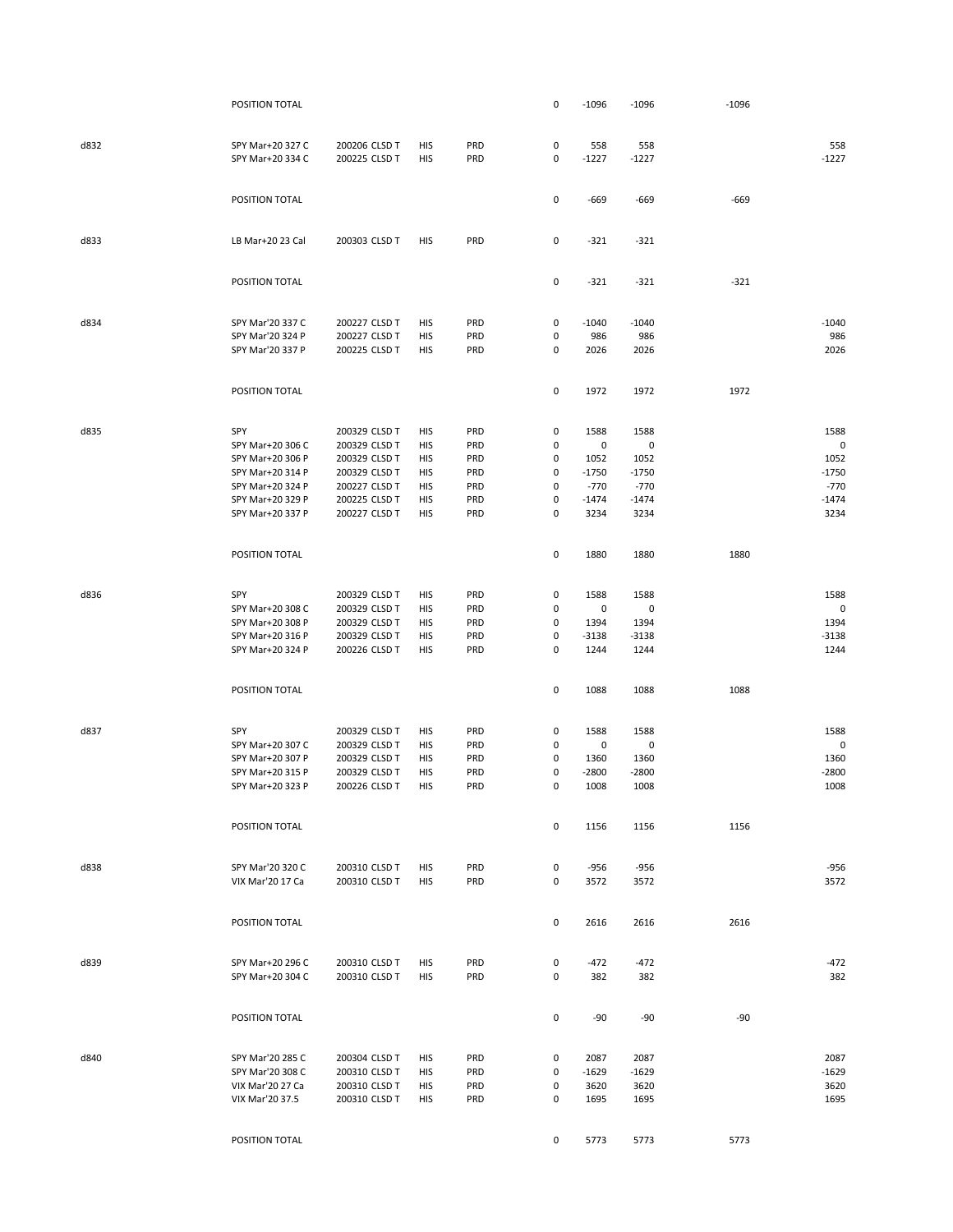|      | POSITION TOTAL                       |                                |            |            | 0         | $-1096$      | $-1096$     | $-1096$ |              |
|------|--------------------------------------|--------------------------------|------------|------------|-----------|--------------|-------------|---------|--------------|
|      |                                      |                                |            |            |           |              |             |         |              |
| d832 | SPY Mar+20 327 C                     | 200206 CLSD T                  | HIS        | PRD        | $\pmb{0}$ | 558          | 558         |         | 558          |
|      | SPY Mar+20 334 C                     | 200225 CLSD T                  | HIS        | PRD        | $\pmb{0}$ | $-1227$      | $-1227$     |         | $-1227$      |
|      |                                      |                                |            |            |           |              |             |         |              |
|      | POSITION TOTAL                       |                                |            |            | 0         | $-669$       | $-669$      | $-669$  |              |
|      |                                      |                                |            |            |           |              |             |         |              |
| d833 | LB Mar+20 23 Cal                     | 200303 CLSD T                  | HIS        | PRD        | 0         | $-321$       | $-321$      |         |              |
|      |                                      |                                |            |            |           |              |             |         |              |
|      | POSITION TOTAL                       |                                |            |            | 0         | $-321$       | $-321$      | $-321$  |              |
|      |                                      |                                |            |            |           |              |             |         |              |
| d834 | SPY Mar'20 337 C                     | 200227 CLSD T                  | HIS        | PRD        | 0         | $-1040$      | $-1040$     |         | $-1040$      |
|      | SPY Mar'20 324 P                     | 200227 CLSD T                  | HIS        | PRD        | 0         | 986          | 986         |         | 986          |
|      | SPY Mar'20 337 P                     | 200225 CLSD T                  | HIS        | PRD        | 0         | 2026         | 2026        |         | 2026         |
|      |                                      |                                |            |            |           |              |             |         |              |
|      | POSITION TOTAL                       |                                |            |            | 0         | 1972         | 1972        | 1972    |              |
|      |                                      |                                |            |            |           |              |             |         |              |
| d835 | SPY                                  | 200329 CLSD T                  | HIS        | PRD        | 0         | 1588         | 1588        |         | 1588<br>0    |
|      | SPY Mar+20 306 C<br>SPY Mar+20 306 P | 200329 CLSD T<br>200329 CLSD T | HIS        | PRD<br>PRD | 0         | 0<br>1052    | 0<br>1052   |         | 1052         |
|      | SPY Mar+20 314 P                     | 200329 CLSD T                  | HIS<br>HIS | PRD        | 0<br>0    | $-1750$      | $-1750$     |         | $-1750$      |
|      | SPY Mar+20 324 P                     | 200227 CLSD T                  | HIS        | PRD        | 0         | $-770$       | $-770$      |         | $-770$       |
|      | SPY Mar+20 329 P                     | 200225 CLSD T                  | HIS        | PRD        | 0         | $-1474$      | $-1474$     |         | $-1474$      |
|      | SPY Mar+20 337 P                     | 200227 CLSD T                  | HIS        | PRD        | 0         | 3234         | 3234        |         | 3234         |
|      |                                      |                                |            |            |           |              |             |         |              |
|      | POSITION TOTAL                       |                                |            |            | 0         | 1880         | 1880        | 1880    |              |
|      |                                      |                                |            |            |           |              |             |         |              |
| d836 | SPY                                  | 200329 CLSD T                  | HIS        | PRD        | 0         | 1588         | 1588        |         | 1588         |
|      | SPY Mar+20 308 C                     | 200329 CLSD T                  | HIS        | PRD        | 0         | 0            | $\mathbf 0$ |         | 0            |
|      | SPY Mar+20 308 P                     | 200329 CLSD T                  | HIS        | <b>PRD</b> | 0         | 1394         | 1394        |         | 1394         |
|      | SPY Mar+20 316 P                     | 200329 CLSD T                  | HIS        | PRD        | 0         | $-3138$      | $-3138$     |         | $-3138$      |
|      | SPY Mar+20 324 P                     | 200226 CLSD T                  | HIS        | PRD        | 0         | 1244         | 1244        |         | 1244         |
|      |                                      |                                |            |            |           |              |             |         |              |
|      | POSITION TOTAL                       |                                |            |            | 0         | 1088         | 1088        | 1088    |              |
|      |                                      |                                |            |            |           |              |             |         |              |
| d837 | SPY                                  | 200329 CLSD T                  | HIS        | <b>PRD</b> | 0         | 1588         | 1588        |         | 1588         |
|      | SPY Mar+20 307 C                     | 200329 CLSD T                  | HIS        | PRD        | 0         | 0            | 0           |         | $\mathbf 0$  |
|      | SPY Mar+20 307 P                     | 200329 CLSD T                  | HIS        | PRD        | 0         | 1360         | 1360        |         | 1360         |
|      | SPY Mar+20 315 P                     | 200329 CLSD T                  | HIS        | PRD        | 0         | $-2800$      | $-2800$     |         | $-2800$      |
|      | SPY Mar+20 323 P                     | 200226 CLSD T                  | HIS        | PRD        | 0         | 1008         | 1008        |         | 1008         |
|      | POSITION TOTAL                       |                                |            |            | 0         | 1156         |             | 1156    |              |
|      |                                      |                                |            |            |           |              | 1156        |         |              |
| d838 | SPY Mar'20 320 C                     | 200310 CLSD T                  | HIS        | PRD        | 0         | $-956$       | $-956$      |         | $-956$       |
|      | VIX Mar'20 17 Ca                     | 200310 CLSD T                  | HIS        | PRD        | 0         | 3572         | 3572        |         | 3572         |
|      |                                      |                                |            |            |           |              |             |         |              |
|      | POSITION TOTAL                       |                                |            |            | 0         | 2616         | 2616        | 2616    |              |
|      |                                      |                                |            |            |           |              |             |         |              |
| d839 | SPY Mar+20 296 C                     | 200310 CLSD T                  | HIS        | PRD        | 0         | $-472$       | $-472$      |         | $-472$       |
|      | SPY Mar+20 304 C                     | 200310 CLSD T                  | <b>HIS</b> | PRD        | 0         | 382          | 382         |         | 382          |
|      |                                      |                                |            |            |           |              |             |         |              |
|      | POSITION TOTAL                       |                                |            |            | 0         | $-90$        | $-90$       | $-90$   |              |
|      |                                      |                                |            |            |           |              |             |         |              |
| d840 | SPY Mar'20 285 C                     | 200304 CLSD T                  | HIS        | PRD        | 0         | 2087         | 2087        |         | 2087         |
|      | SPY Mar'20 308 C                     | 200310 CLSD T                  | HIS        | PRD        | $\pmb{0}$ | $-1629$      | $-1629$     |         | -1629        |
|      | VIX Mar'20 27 Ca<br>VIX Mar'20 37.5  | 200310 CLSD T                  | HIS        | PRD<br>PRD | 0<br>0    | 3620<br>1695 | 3620        |         | 3620<br>1695 |
|      |                                      | 200310 CLSD T                  | HIS        |            |           |              | 1695        |         |              |
|      | POSITION TOTAL                       |                                |            |            | 0         | 5773         | 5773        | 5773    |              |
|      |                                      |                                |            |            |           |              |             |         |              |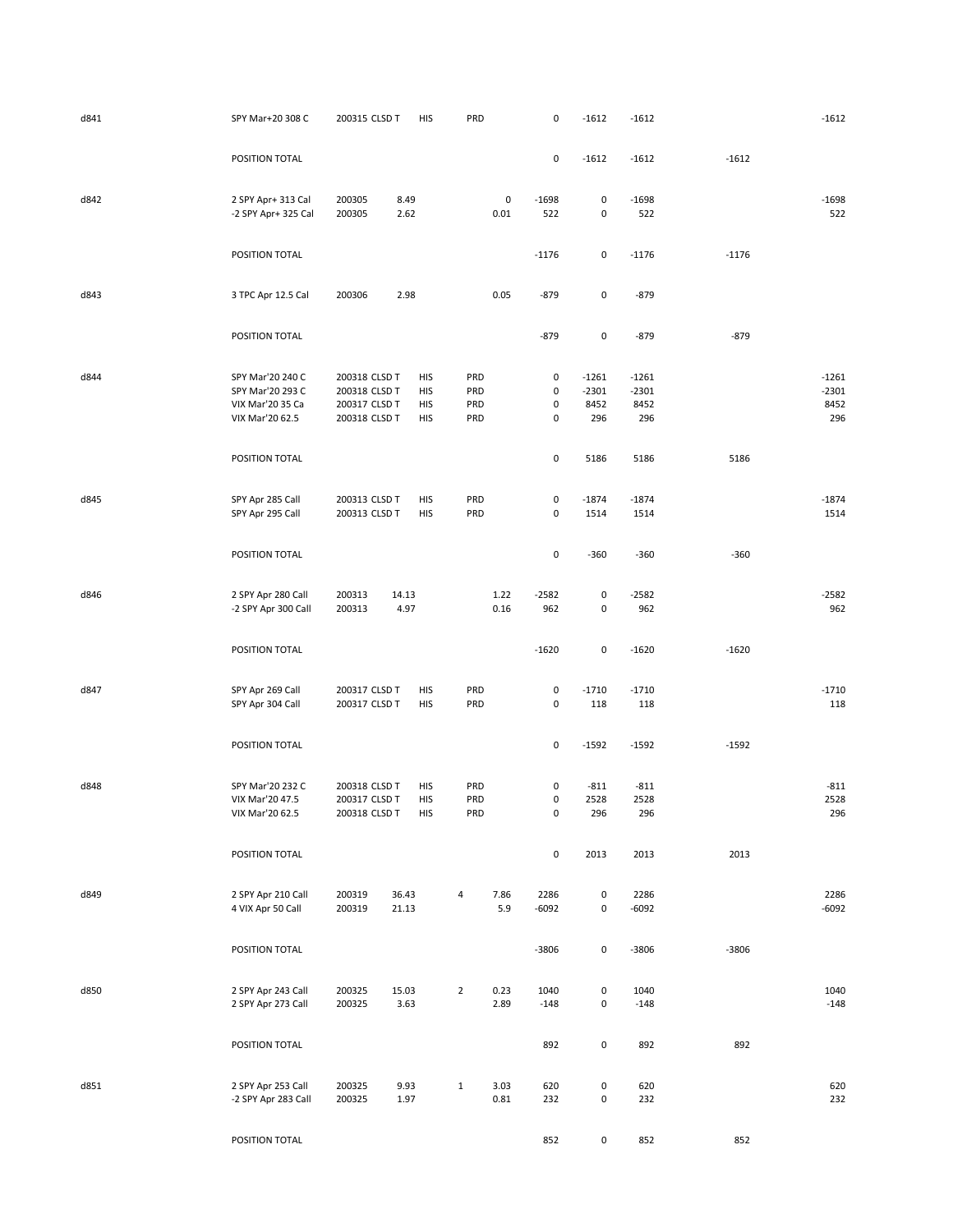| d841 | SPY Mar+20 308 C                                                            | 200315 CLSD T                                                    | <b>HIS</b>                      | PRD                      |              | 0                                        | $-1612$                           | $-1612$                           |         | $-1612$                           |
|------|-----------------------------------------------------------------------------|------------------------------------------------------------------|---------------------------------|--------------------------|--------------|------------------------------------------|-----------------------------------|-----------------------------------|---------|-----------------------------------|
|      | POSITION TOTAL                                                              |                                                                  |                                 |                          |              | $\pmb{0}$                                | $-1612$                           | $-1612$                           | $-1612$ |                                   |
| d842 | 2 SPY Apr+ 313 Cal<br>-2 SPY Apr+ 325 Cal                                   | 200305<br>200305                                                 | 8.49<br>2.62                    |                          | 0<br>0.01    | $-1698$<br>522                           | 0<br>$\pmb{0}$                    | $-1698$<br>522                    |         | $-1698$<br>522                    |
|      | POSITION TOTAL                                                              |                                                                  |                                 |                          |              | $-1176$                                  | 0                                 | $-1176$                           | $-1176$ |                                   |
| d843 | 3 TPC Apr 12.5 Cal                                                          | 200306                                                           | 2.98                            |                          | 0.05         | $-879$                                   | 0                                 | $-879$                            |         |                                   |
|      | POSITION TOTAL                                                              |                                                                  |                                 |                          |              | $-879$                                   | $\mathsf{O}\xspace$               | $-879$                            | $-879$  |                                   |
| d844 | SPY Mar'20 240 C<br>SPY Mar'20 293 C<br>VIX Mar'20 35 Ca<br>VIX Mar'20 62.5 | 200318 CLSD T<br>200318 CLSD T<br>200317 CLSD T<br>200318 CLSD T | HIS<br>HIS<br><b>HIS</b><br>HIS | PRD<br>PRD<br>PRD<br>PRD |              | 0<br>$\pmb{0}$<br>$\pmb{0}$<br>$\pmb{0}$ | $-1261$<br>$-2301$<br>8452<br>296 | $-1261$<br>$-2301$<br>8452<br>296 |         | $-1261$<br>$-2301$<br>8452<br>296 |
|      | POSITION TOTAL                                                              |                                                                  |                                 |                          |              | $\pmb{0}$                                | 5186                              | 5186                              | 5186    |                                   |
| d845 | SPY Apr 285 Call<br>SPY Apr 295 Call                                        | 200313 CLSD T<br>200313 CLSD T                                   | HIS<br>HIS                      | PRD<br>PRD               |              | 0<br>$\pmb{0}$                           | $-1874$<br>1514                   | $-1874$<br>1514                   |         | $-1874$<br>1514                   |
|      | POSITION TOTAL                                                              |                                                                  |                                 |                          |              | $\pmb{0}$                                | $-360$                            | $-360$                            | $-360$  |                                   |
| d846 | 2 SPY Apr 280 Call<br>-2 SPY Apr 300 Call                                   | 200313<br>200313                                                 | 14.13<br>4.97                   |                          | 1.22<br>0.16 | $-2582$<br>962                           | 0<br>0                            | $-2582$<br>962                    |         | $-2582$<br>962                    |
|      | POSITION TOTAL                                                              |                                                                  |                                 |                          |              | $-1620$                                  | 0                                 | $-1620$                           | $-1620$ |                                   |
| d847 | SPY Apr 269 Call<br>SPY Apr 304 Call                                        | 200317 CLSD T<br>200317 CLSD T                                   | HIS<br>HIS                      | PRD<br>PRD               |              | $\pmb{0}$<br>0                           | $-1710$<br>118                    | $-1710$<br>118                    |         | $-1710$<br>118                    |
|      | POSITION TOTAL                                                              |                                                                  |                                 |                          |              | $\pmb{0}$                                | $-1592$                           | $-1592$                           | $-1592$ |                                   |
| d848 | SPY Mar'20 232 C<br>VIX Mar'20 47.5<br>VIX Mar'20 62.5                      | 200318 CLSD T<br>200317 CLSD T<br>200318 CLSD T                  | HIS<br><b>HIS</b><br>HIS        | PRD<br>PRD<br>PRD        |              | 0<br>$\mathbf 0$<br>$\mathbf 0$          | $-811$<br>2528<br>296             | $-811$<br>2528<br>296             |         | $-811$<br>2528<br>296             |
|      | POSITION TOTAL                                                              |                                                                  |                                 |                          |              | $\pmb{0}$                                | 2013                              | 2013                              | 2013    |                                   |
| d849 | 2 SPY Apr 210 Call<br>4 VIX Apr 50 Call                                     | 200319<br>200319                                                 | 36.43<br>21.13                  | 4                        | 7.86<br>5.9  | 2286<br>-6092                            | 0<br>$\pmb{0}$                    | 2286<br>$-6092$                   |         | 2286<br>$-6092$                   |
|      | POSITION TOTAL                                                              |                                                                  |                                 |                          |              | $-3806$                                  | 0                                 | $-3806$                           | $-3806$ |                                   |
| d850 | 2 SPY Apr 243 Call<br>2 SPY Apr 273 Call                                    | 200325<br>200325                                                 | 15.03<br>3.63                   | $\overline{2}$           | 0.23<br>2.89 | 1040<br>$-148$                           | 0<br>$\mathsf{O}\xspace$          | 1040<br>$-148$                    |         | 1040<br>$-148$                    |
|      | POSITION TOTAL                                                              |                                                                  |                                 |                          |              | 892                                      | 0                                 | 892                               | 892     |                                   |
| d851 | 2 SPY Apr 253 Call<br>-2 SPY Apr 283 Call                                   | 200325<br>200325                                                 | 9.93<br>1.97                    | $\mathbf{1}$             | 3.03<br>0.81 | 620<br>232                               | 0<br>0                            | 620<br>232                        |         | 620<br>232                        |
|      | POSITION TOTAL                                                              |                                                                  |                                 |                          |              | 852                                      | $\mathsf 0$                       | 852                               | 852     |                                   |